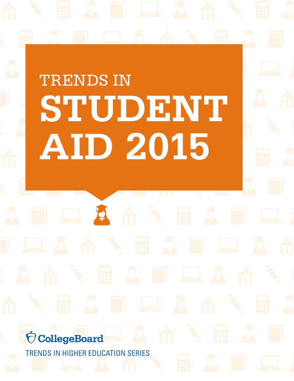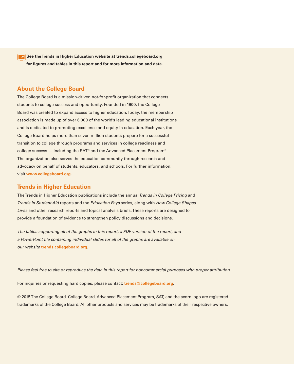**See the Trends in Higher Education website at [trends.collegeboard.org](http://trends.collegeboard.org) for figures and tables in this report and for more information and data.**

## **About the College Board**

The College Board is a mission-driven not-for-profit organization that connects students to college success and opportunity. Founded in 1900, the College Board was created to expand access to higher education. Today, the membership association is made up of over 6,000 of the world's leading educational institutions and is dedicated to promoting excellence and equity in education. Each year, the College Board helps more than seven million students prepare for a successful transition to college through programs and services in college readiness and college success — including the SAT® and the Advanced Placement Program®. The organization also serves the education community through research and advocacy on behalf of students, educators, and schools. For further information, visit **[www.collegeboard.org](http://www.collegeboard.org).**

## **Trends in Higher Education**

The Trends in Higher Education publications include the annual *Trends in College Pricing* and *Trends in Student Aid* reports and the *Education Pays* series, along with *How College Shapes Lives* and other research reports and topical analysis briefs. These reports are designed to provide a foundation of evidence to strengthen policy discussions and decisions.

*The tables supporting all of the graphs in this report, a PDF version of the report, and a PowerPoint file containing individual slides for all of the graphs are available on our website* **[trends.collegeboard.org.](http://trends.collegeboard.org)**

*Please feel free to cite or reproduce the data in this report for noncommercial purposes with proper attribution.*

For inquiries or requesting hard copies, please contact: **[trends@collegeboard.org.](mailto:trends@collegeboard.org)**

© 2015 The College Board. College Board, Advanced Placement Program, SAT, and the acorn logo are registered trademarks of the College Board. All other products and services may be trademarks of their respective owners.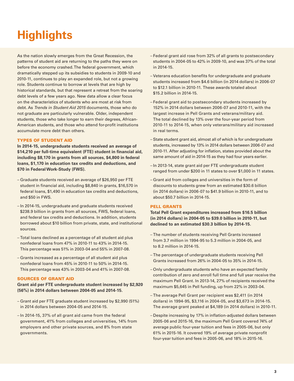## <span id="page-2-1"></span><span id="page-2-0"></span>**Highlights**

As the nation slowly emerges from the Great Recession, the patterns of student aid are returning to the paths they were on before the economy crashed. The federal government, which dramatically stepped up its subsidies to students in 2009-10 and 2010-11, continues to play an expanded role, but not a growing role. Students continue to borrow at levels that are high by historical standards, but that represent a retreat from the soaring debt levels of a few years ago. New data allow a clear focus on the characteristics of students who are most at risk from debt. As *Trends in Student Aid 2015* documents, those who do not graduate are particularly vulnerable. Older, independent students, those who take longer to earn their degrees, African-American students, and those who attend for-profit institutions accumulate more debt than others.

### TYPES OF STUDENT AID

**In 2014-15, undergraduate students received an average of \$14,210 per full-time equivalent (FTE) student in financial aid, including \$8,170 in grants from all sources, \$4,800 in federal loans, \$1,170 in education tax credits and deductions, and \$70 in Federal Work-Study (FWS).**

- Graduate students received an average of \$26,950 per FTE student in financial aid, including \$8,840 in grants, \$16,570 in federal loans, \$1,490 in education tax credits and deductions, and \$50 in FWS.
- In 2014-15, undergraduate and graduate students received \$238.9 billion in grants from all sources, FWS, federal loans, and federal tax credits and deductions. In addition, students borrowed about \$10 billion from private, state, and institutional sources.
- Total loans declined as a percentage of all student aid plus nonfederal loans from 47% in 2010-11 to 43% in 2014-15. This percentage was 51% in 2003-04 and 55% in 2007-08.
- Grants increased as a percentage of all student aid plus nonfederal loans from 45% in 2010-11 to 50% in 2014-15. This percentage was 43% in 2003-04 and 41% in 2007-08.

### SOURCES OF GRANT AID

**Grant aid per FTE undergraduate student increased by \$2,920 (56%) in 2014 dollars between 2004-05 and 2014-15.**

- Grant aid per FTE graduate student increased by \$2,990 (51%) in 2014 dollars between 2004-05 and 2014-15.
- In 2014-15, 37% of all grant aid came from the federal government, 41% from colleges and universities, 14% from employers and other private sources, and 8% from state governments.
- Federal grant aid rose from 32% of all grants to postsecondary students in 2004-05 to 42% in 2009-10, and was 37% of the total in 2014-15.
- Veterans education benefits for undergraduate and graduate students increased from \$4.6 billion (in 2014 dollars) in 2006-07 to \$12.1 billion in 2010-11. These awards totaled about \$15.2 billion in 2014-15.
- Federal grant aid to postsecondary students increased by 152% in 2014 dollars between 2006-07 and 2010-11, with the largest increase in Pell Grants and veterans/military aid. The total declined by 13% over the four-year period from 2010-11 to 2014-15, when only veterans/military aid increased in real terms.
- State student grant aid, almost all of which is for undergraduate students, increased by 13% in 2014 dollars between 2006-07 and 2010-11. After adjusting for inflation, states provided about the same amount of aid in 2014-15 as they had four years earlier.
- In 2013-14, state grant aid per FTE undergraduate student ranged from under \$200 in 11 states to over \$1,000 in 11 states.
- Grant aid from colleges and universities in the form of discounts to students grew from an estimated \$30.6 billion (in 2014 dollars) in 2006-07 to \$41.9 billion in 2010-11, and to about \$50.7 billion in 2014-15.

### PELL GRANTS

**Total Pell Grant expenditures increased from \$16.5 billion (in 2014 dollars) in 2004-05 to \$39.0 billion in 2010-11, but declined to an estimated \$30.3 billion by 2014-15.**

- The number of students receiving Pell Grants increased from 3.7 million in 1994-95 to 5.3 million in 2004-05, and to 8.2 million in 2014-15.
- The percentage of undergraduate students receiving Pell Grants increased from 26% in 2004-05 to 35% in 2014-15.
- Only undergraduate students who have an expected family contribution of zero and enroll full time and full year receive the maximum Pell Grant. In 2013-14, 27% of recipients received the maximum \$5,645 in Pell funding, up from 22% in 2003-04.
- The average Pell Grant per recipient was \$2,411 (in 2014 dollars) in 1994-95, \$3,116 in 2004-05, and \$3,673 in 2014-15. The average grant peaked at \$4,189 (in 2014 dollars) in 2010-11.
- Despite increasing by 17% in inflation-adjusted dollars between 2005-06 and 2015-16, the maximum Pell Grant covered 74% of average public four-year tuition and fees in 2005-06, but only 61% in 2015-16. It covered 19% of average private nonprofit four-year tuition and fees in 2005-06, and 18% in 2015-16.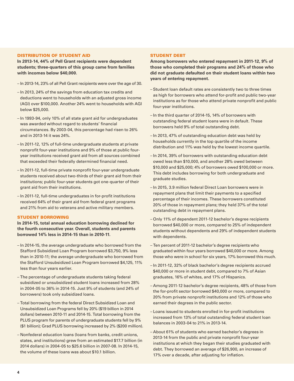#### DISTRIBUTION OF STUDENT AID

**In 2013-14, 44% of Pell Grant recipients were dependent students; three-quarters of this group came from families with incomes below \$40,000.**

- In 2013-14, 23% of all Pell Grant recipients were over the age of 30.
- In 2013, 24% of the savings from education tax credits and deductions went to households with an adjusted gross income (AGI) over \$100,000. Another 24% went to households with AGI below \$25,000.
- In 1993-94, only 10% of all state grant aid for undergraduates was awarded without regard to students' financial circumstances. By 2003-04, this percentage had risen to 26% and in 2013-14 it was 24%.
- In 2011-12, 12% of full-time undergraduate students at private nonprofit four-year institutions and 9% of those at public fouryear institutions received grant aid from all sources combined that exceeded their federally determined financial need.
- In 2011-12, full-time private nonprofit four-year undergraduate students received about two-thirds of their grant aid from their institutions; public four-year students got one-quarter of their grant aid from their institutions.
- In 2011-12, full-time undergraduates in for-profit institutions received 64% of their grant aid from federal grant programs and 21% from aid to veterans and active military members.

### STUDENT BORROWING

**In 2014-15, total annual education borrowing declined for the fourth consecutive year. Overall, students and parents borrowed 14% less in 2014-15 than in 2010-11.**

- In 2014-15, the average undergraduate who borrowed from the Stafford Subsidized Loan Program borrowed \$3,750, 9% less than in 2010-11; the average undergraduate who borrowed from the Stafford Unsubsidized Loan Program borrowed \$4,125, 11% less than four years earlier.
- The percentage of undergraduate students taking federal subsidized or unsubsidized student loans increased from 28% in 2004-05 to 36% in 2014-15. Just 9% of students (and 24% of borrowers) took only subsidized loans.
- Total borrowing from the federal Direct Subsidized Loan and Unsubsidized Loan Programs fell by 20% (\$19 billion in 2014 dollars) between 2010-11 and 2014-15. Total borrowing from the PLUS program for parents of undergraduate students fell by 9% (\$1 billion); Grad PLUS borrowing increased by 2% (\$200 million).
- Nonfederal education loans (loans from banks, credit unions, states, and institutions) grew from an estimated \$17.7 billion (in 2014 dollars) in 2004-05 to \$25.6 billion in 2007-08. In 2014-15, the volume of these loans was about \$10.1 billion.

### STUDENT DEBT

**Among borrowers who entered repayment in 2011-12, 9% of those who completed their programs and 24% of those who did not graduate defaulted on their student loans within two years of entering repayment.** 

- Student loan default rates are consistently two to three times as high for borrowers who attend for-profit and public two-year institutions as for those who attend private nonprofit and public four-year institutions.
- In the third quarter of 2014-15, 14% of borrowers with outstanding federal student loans were in default. These borrowers held 9% of total outstanding debt.
- In 2013, 47% of outstanding education debt was held by households currently in the top quartile of the income distribution and 11% was held by the lowest income quartile.
- In 2014, 39% of borrowers with outstanding education debt owed less than \$10,000, and another 28% owed between \$10,000 and \$25,000; 4% of borrowers owed \$100,000 or more. This debt includes borrowing for both undergraduate and graduate studies.
- In 2015, 3.9 million federal Direct Loan borrowers were in repayment plans that limit their payments to a specified percentage of their incomes. These borrowers constituted 20% of those in repayment plans; they held 37% of the total outstanding debt in repayment plans.
- Only 11% of dependent 2011-12 bachelor's degree recipients borrowed \$40,000 or more, compared to 25% of independent students without dependents and 29% of independent students with dependents.
- Ten percent of 2011-12 bachelor's degree recipients who graduated within four years borrowed \$40,000 or more. Among those who were in school for six years, 17% borrowed this much.
- In 2011-12, 32% of black bachelor's degree recipients accrued \$40,000 or more in student debt, compared to 7% of Asian graduates, 16% of whites, and 17% of Hispanics.
- Among 2011-12 bachelor's degree recipients, 48% of those from the for-profit sector borrowed \$40,000 or more, compared to 20% from private nonprofit institutions and 12% of those who earned their degrees in the public sector.
- Loans issued to students enrolled in for-profit institutions increased from 13% of total outstanding federal student loan balances in 2003-04 to 21% in 2013-14.
- About 61% of students who earned bachelor's degrees in 2013-14 from the public and private nonprofit four-year institutions at which they began their studies graduated with debt. They borrowed an average of \$26,900, an increase of 17% over a decade, after adjusting for inflation.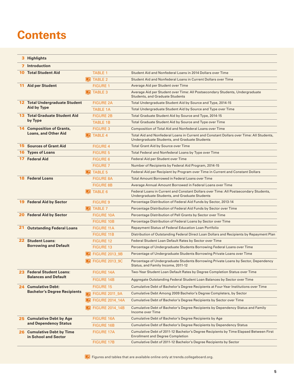## **Contents**

|     | 3 Highlights                                              |                 |                         |                                                                                                                                          |
|-----|-----------------------------------------------------------|-----------------|-------------------------|------------------------------------------------------------------------------------------------------------------------------------------|
| 7   | <b>Introduction</b>                                       |                 |                         |                                                                                                                                          |
| 10  | <b>Total Student Aid</b>                                  |                 | <b>TABLE 1</b>          | Student Aid and Nonfederal Loans in 2014 Dollars over Time                                                                               |
|     |                                                           |                 | <b>E</b> TABLE 2        | Student Aid and Nonfederal Loans in Current Dollars over Time                                                                            |
| 11  | <b>Aid per Student</b>                                    |                 | <b>FIGURE 1</b>         | Average Aid per Student over Time                                                                                                        |
|     |                                                           | $\sqrt{ }$      | <b>TABLE 3</b>          | Average Aid per Student over Time: All Postsecondary Students, Undergraduate<br><b>Students, and Graduate Students</b>                   |
|     | <b>12 Total Undergraduate Student</b>                     |                 | <b>FIGURE 2A</b>        | Total Undergraduate Student Aid by Source and Type, 2014-15                                                                              |
|     | Aid by Type                                               |                 | <b>TABLE 1A</b>         | Total Undergraduate Student Aid by Source and Type over Time                                                                             |
|     | <b>13 Total Graduate Student Aid</b>                      |                 | <b>FIGURE 2B</b>        | Total Graduate Student Aid by Source and Type, 2014-15                                                                                   |
|     | by Type                                                   |                 | <b>TABLE 1B</b>         | Total Graduate Student Aid by Source and Type over Time                                                                                  |
|     | <b>14 Composition of Grants,</b>                          |                 | <b>FIGURE 3</b>         | Composition of Total Aid and Nonfederal Loans over Time                                                                                  |
|     | <b>Loans, and Other Aid</b>                               | $\vert x \vert$ | <b>TABLE 4</b>          | Total Aid and Nonfederal Loans in Current and Constant Dollars over Time: All Students,<br>Undergraduate Students, and Graduate Students |
| 15. | <b>Sources of Grant Aid</b>                               |                 | <b>FIGURE 4</b>         | <b>Total Grant Aid by Source over Time</b>                                                                                               |
| 16  | <b>Types of Loans</b>                                     |                 | <b>FIGURE 5</b>         | Total Federal and Nonfederal Loans by Type over Time                                                                                     |
| 17  | <b>Federal Aid</b>                                        |                 | <b>FIGURE 6</b>         | Federal Aid per Student over Time                                                                                                        |
|     |                                                           |                 | <b>FIGURE 7</b>         | Number of Recipients by Federal Aid Program, 2014-15                                                                                     |
|     |                                                           |                 | <b>E</b> TABLE 5        | Federal Aid per Recipient by Program over Time in Current and Constant Dollars                                                           |
| 18  | <b>Federal Loans</b>                                      |                 | <b>FIGURE 8A</b>        | <b>Total Amount Borrowed in Federal Loans over Time</b>                                                                                  |
|     |                                                           |                 | <b>FIGURE 8B</b>        | Average Annual Amount Borrowed in Federal Loans over Time                                                                                |
|     |                                                           |                 | <b>E</b> TABLE 6        | Federal Loans in Current and Constant Dollars over Time: All Postsecondary Students,<br>Undergraduate Students, and Graduate Students    |
|     | <b>19 Federal Aid by Sector</b>                           |                 | <b>FIGURE 9</b>         | Percentage Distribution of Federal Aid Funds by Sector, 2013-14                                                                          |
|     |                                                           |                 | <b>E</b> TABLE 7        | Percentage Distribution of Federal Aid Funds by Sector over Time                                                                         |
| 20  | <b>Federal Aid by Sector</b>                              |                 | <b>FIGURE 10A</b>       | Percentage Distribution of Pell Grants by Sector over Time                                                                               |
|     |                                                           |                 | <b>FIGURE 10B</b>       | Percentage Distribution of Federal Loans by Sector over Time                                                                             |
| 21  | <b>Outstanding Federal Loans</b>                          |                 | <b>FIGURE 11A</b>       | <b>Repayment Status of Federal Education Loan Portfolio</b>                                                                              |
|     |                                                           |                 | <b>FIGURE 11B</b>       | Distribution of Outstanding Federal Direct Loan Dollars and Recipients by Repayment Plan                                                 |
|     | <b>22 Student Loans:</b><br><b>Borrowing and Default</b>  |                 | <b>FIGURE 12</b>        | Federal Student Loan Default Rates by Sector over Time                                                                                   |
|     |                                                           |                 | <b>FIGURE 13</b>        | Percentage of Undergraduate Students Borrowing Federal Loans over Time                                                                   |
|     |                                                           |                 | <b>2</b> FIGURE 2013_9B | Percentage of Undergraduate Students Borrowing Private Loans over Time                                                                   |
|     |                                                           |                 | <b>FIGURE 2013_9C</b>   | Percentage of Undergraduate Students Borrowing Private Loans by Sector, Dependency<br>Status, and Family Income, 2011-12                 |
|     | 23 Federal Student Loans:                                 |                 | <b>FIGURE 14A</b>       | Two-Year Student Loan Default Rates by Degree Completion Status over Time                                                                |
|     | <b>Balances and Default</b>                               |                 | <b>FIGURE 14B</b>       | Aggregate Outstanding Federal Student Loan Balances by Sector over Time                                                                  |
|     | 24 Cumulative Debt:                                       |                 | <b>FIGURE 15</b>        | Cumulative Debt of Bachelor's Degree Recipients at Four-Year Institutions over Time                                                      |
|     | <b>Bachelor's Degree Recipients</b>                       | $\sqrt{2}$      | <b>FIGURE 2011_9A</b>   | Cumulative Debt Among 2009 Bachelor's Degree Completers, by Sector                                                                       |
|     |                                                           | $\vert$ 1       | <b>FIGURE 2014_14A</b>  | Cumulative Debt of Bachelor's Degree Recipients by Sector over Time                                                                      |
|     |                                                           |                 | <b>FIGURE 2014_14B</b>  | Cumulative Debt of Bachelor's Degree Recipients by Dependency Status and Family<br>Income over Time                                      |
|     | 25 Cumulative Debt by Age                                 |                 | <b>FIGURE 16A</b>       | Cumulative Debt of Bachelor's Degree Recipients by Age                                                                                   |
|     | and Dependency Status                                     |                 | <b>FIGURE 16B</b>       | Cumulative Debt of Bachelor's Degree Recipients by Dependency Status                                                                     |
|     | <b>26 Cumulative Debt by Time</b><br>in School and Sector |                 | <b>FIGURE 17A</b>       | Cumulative Debt of 2011-12 Bachelor's Degree Recipients by Time Elapsed Between First<br><b>Enrollment and Degree Completion</b>         |
|     |                                                           |                 | <b>FIGURE 17B</b>       | Cumulative Debt of 2011-12 Bachelor's Degree Recipients by Sector                                                                        |
|     |                                                           |                 |                         |                                                                                                                                          |

Figures and tables that are available online only at [trends.collegeboard.org.](http://trends.collegeboard.org)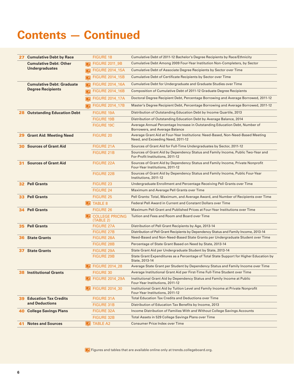## **Contents — Continued**

| 27  | <b>Cumulative Debt by Race</b>    |                       | <b>FIGURE 18</b>                    | Cumulative Debt of 2011-12 Bachelor's Degree Recipients by Race/Ethnicity                                            |
|-----|-----------------------------------|-----------------------|-------------------------------------|----------------------------------------------------------------------------------------------------------------------|
|     | <b>Cumulative Debt: Other</b>     | ा ग                   | <b>FIGURE 2011 9B</b>               | Cumulative Debt Among 2009 Four-Year Institution Non-Completers, by Sector                                           |
|     | <b>Undergraduates</b>             | $\blacktriangleright$ | <b>FIGURE 2014_15A</b>              | Cumulative Debt of Associate Degree Recipients by Sector over Time                                                   |
|     |                                   | $\overline{ }$        | <b>FIGURE 2014_15B</b>              | Cumulative Debt of Certificate Recipients by Sector over Time                                                        |
|     | <b>Cumulative Debt: Graduate</b>  | 罓                     | <b>FIGURE 2014 16A</b>              | Cumulative Debt for Undergraduate and Graduate Studies over Time                                                     |
|     | <b>Degree Recipients</b>          | $\vert x \vert$       | <b>FIGURE 2014_16B</b>              | Composition of Cumulative Debt of 2011-12 Graduate Degree Recipients                                                 |
|     |                                   | ⊓                     | <b>FIGURE 2014_17A</b>              | Doctoral Degree Recipient Debt, Percentage Borrowing and Average Borrowed, 2011-12                                   |
|     |                                   | ⊓                     | <b>FIGURE 2014_17B</b>              | Master's Degree Recipient Debt, Percentage Borrowing and Average Borrowed, 2011-12                                   |
| 28  | <b>Outstanding Education Debt</b> |                       | <b>FIGURE 19A</b>                   | Distribution of Outstanding Education Debt by Income Quartile, 2013                                                  |
|     |                                   |                       | <b>FIGURE 19B</b>                   | Distribution of Outstanding Education Debt by Average Balance, 2014                                                  |
|     |                                   |                       | <b>FIGURE 19C</b>                   | Average Annual Percentage Increase in Outstanding Education Debt, Number of<br>Borrowers, and Average Balance        |
| 29  | <b>Grant Aid: Meeting Need</b>    |                       | <b>FIGURE 20</b>                    | Average Grant Aid at Four-Year Institutions: Need-Based, Non-Need-Based Meeting<br>Need, and Exceeding Need, 2011-12 |
| 30  | <b>Sources of Grant Aid</b>       |                       | <b>FIGURE 21A</b>                   | Sources of Grant Aid for Full-Time Undergraduates by Sector, 2011-12                                                 |
|     |                                   |                       | <b>FIGURE 21B</b>                   | Sources of Grant Aid by Dependency Status and Family Income, Public Two-Year and<br>For-Profit Institutions, 2011-12 |
| 31  | <b>Sources of Grant Aid</b>       |                       | <b>FIGURE 22A</b>                   | Sources of Grant Aid by Dependency Status and Family Income, Private Nonprofit<br>Four-Year Institutions, 2011-12    |
|     |                                   |                       | <b>FIGURE 22B</b>                   | Sources of Grant Aid by Dependency Status and Family Income, Public Four-Year<br>Institutions, 2011-12               |
|     | <b>32 Pell Grants</b>             |                       | <b>FIGURE 23</b>                    | Undergraduate Enrollment and Percentage Receiving Pell Grants over Time                                              |
|     |                                   |                       | <b>FIGURE 24</b>                    | Maximum and Average Pell Grants over Time                                                                            |
|     | <b>33 Pell Grants</b>             |                       | <b>FIGURE 25</b>                    | Pell Grants: Total, Maximum, and Average Award, and Number of Recipients over Time                                   |
|     |                                   |                       | <b>E</b> TABLE 8                    | Federal Pell Award in Current and Constant Dollars over Time                                                         |
| 34. | <b>Pell Grants</b>                |                       | <b>FIGURE 26</b>                    | Maximum Pell Grant and Published Prices at Four-Year Institutions over Time                                          |
|     |                                   |                       | <b>COLLEGE PRICING</b><br>(TABLE 2) | Tuition and Fees and Room and Board over Time                                                                        |
| 35  | <b>Pell Grants</b>                |                       | <b>FIGURE 27A</b>                   | Distribution of Pell Grant Recipients by Age, 2013-14                                                                |
|     |                                   |                       | <b>FIGURE 27B</b>                   | Distribution of Pell Grant Recipients by Dependency Status and Family Income, 2013-14                                |
| 36  | <b>State Grants</b>               |                       | <b>FIGURE 28A</b>                   | Need-Based and Non-Need-Based State Grants per Undergraduate Student over Time                                       |
|     |                                   |                       | <b>FIGURE 28B</b>                   | Percentage of State Grant Based on Need by State, 2013-14                                                            |
| 37  | <b>State Grants</b>               |                       | <b>FIGURE 29A</b>                   | State Grant Aid per Undergraduate Student by State, 2013-14                                                          |
|     |                                   |                       | <b>FIGURE 29B</b>                   | State Grant Expenditures as a Percentage of Total State Support for Higher Education by<br>State, 2013-14            |
|     |                                   | $\sqrt{2}$            | <b>FIGURE 2014_28</b>               | Average State Grant per Student by Dependency Status and Family Income over Time                                     |
| 38  | <b>Institutional Grants</b>       |                       | <b>FIGURE 30</b>                    | Average Institutional Grant Aid per First-Time Full-Time Student over Time                                           |
|     |                                   |                       | <b>FIGURE 2014 29A</b>              | Institutional Grant Aid by Dependency Status and Family Income at Public<br>Four-Year Institutions, 2011-12          |
|     |                                   |                       | FIGURE 2014_30                      | Institutional Grant Aid by Tuition Level and Family Income at Private Nonprofit<br>Four-Year Institutions, 2011-12   |
| 39  | <b>Education Tax Credits</b>      |                       | <b>FIGURE 31A</b>                   | <b>Total Education Tax Credits and Deductions over Time</b>                                                          |
|     | and Deductions                    |                       | <b>FIGURE 31B</b>                   | Distribution of Education Tax Benefits by Income, 2013                                                               |
| 40  | <b>College Savings Plans</b>      |                       | <b>FIGURE 32A</b>                   | Income Distribution of Families With and Without College Savings Accounts                                            |
|     |                                   |                       | <b>FIGURE 32B</b>                   | Total Assets in 529 College Savings Plans over Time                                                                  |
| 41  | <b>Notes and Sources</b>          |                       | <b>E</b> TABLE A2                   | <b>Consumer Price Index over Time</b>                                                                                |

Figures and tables that are available online only at [trends.collegeboard.org.](http://trends.collegeboard.org)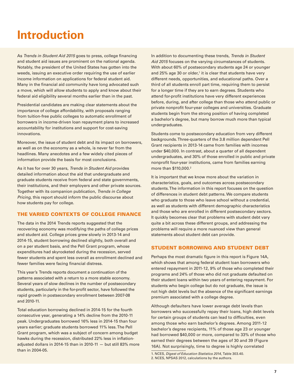## <span id="page-6-1"></span><span id="page-6-0"></span>**Introduction**

As *Trends in Student Aid 2015* goes to press, college financing and student aid issues are prominent on the national agenda. Notably, the president of the United States has gotten into the weeds, issuing an executive order requiring the use of earlier income information on applications for federal student aid. Many in the financial aid community have long advocated such a move, which will allow students to apply and know about their federal aid eligibility several months earlier than in the past.

Presidential candidates are making clear statements about the importance of college affordability, with proposals ranging from tuition-free public colleges to automatic enrollment of borrowers in income-driven loan repayment plans to increased accountability for institutions and support for cost-saving innovations.

Moreover, the issue of student debt and its impact on borrowers, as well as on the economy as a whole, is never far from the headlines. Many anecdotes and a few widely cited pieces of information provide the basis for most conclusions.

As it has for over 30 years, *Trends in Student Aid* provides detailed information about the aid that undergraduate and graduate students receive from federal and state governments, their institutions, and their employers and other private sources. Together with its companion publication, *Trends in College Pricing*, this report should inform the public discourse about how students pay for college.

## THE VARIED CONTEXTS OF COLLEGE FINANCE

The data in the 2014 Trends reports suggested that the recovering economy was modifying the paths of college prices and student aid. College prices grew slowly in 2013-14 and 2014-15, student borrowing declined slightly, both overall and on a per student basis, and the Pell Grant program, whose expenditures had skyrocketed during the recession, served fewer students and spent less overall as enrollment declined and fewer families were facing financial distress.

This year's Trends reports document a continuation of the patterns associated with a return to a more stable economy. Several years of slow declines in the number of postsecondary students, particularly in the for-profit sector, have followed the rapid growth in postsecondary enrollment between 2007-08 and 2010-11.

Total education borrowing declined in 2014-15 for the fourth consecutive year, generating a 14% decline from the 2010-11 peak. Undergraduates borrowed 16% less in 2014-15 than four years earlier; graduate students borrowed 11% less. The Pell Grant program, which was a subject of concern among budget hawks during the recession, distributed 22% less in inflationadjusted dollars in 2014-15 than in 2010-11 — but still 83% more than in 2004-05.

In addition to documenting these trends, *Trends in Student Aid 2015* focuses on the varying circumstances of students. With about 60% of postsecondary students age 24 or younger and 25% age 30 or older, $1$  it is clear that students have very different needs, opportunities, and educational paths. Over a third of all students enroll part time, requiring them to persist for a longer time if they are to earn degrees. Students who attend for-profit institutions have very different experiences before, during, and after college than those who attend public or private nonprofit four-year colleges and universities. Graduate students begin from the strong position of having completed a bachelor's degree, but many borrow much more than typical undergraduates.

Students come to postsecondary education from very different backgrounds. Three-quarters of the 3.8 million dependent Pell Grant recipients in 2013-14 came from families with incomes under \$40,000. In contrast, about a quarter of all dependent undergraduates, and 30% of those enrolled in public and private nonprofit four-year institutions, came from families earning more than \$110,000.2

It is important that we know more about the variation in characteristics, goals, and outcomes across postsecondary students. The information in this report focuses on the question of differences in student debt patterns. We compare students who graduate to those who leave school without a credential, as well as students with different demographic characteristics and those who are enrolled in different postsecondary sectors. It quickly becomes clear that problems with student debt vary quite a bit across these different groups, and addressing the problems will require a more nuanced view than general statements about student debt can provide.

## STUDENT BORROWING AND STUDENT DEBT

Perhaps the most dramatic figure in this report is Figure 14A, which shows that among federal student loan borrowers who entered repayment in 2011-12, 9% of those who completed their programs and 24% of those who did not graduate defaulted on their student loans within two years of entering repayment. For students who begin college but do not graduate, the issue is not high debt levels but the absence of the significant earnings premium associated with a college degree.

Although defaulters have lower average debt levels than borrowers who successfully repay their loans, high debt levels for certain groups of students can lead to difficulties, even among those who earn bachelor's degrees. Among 2011-12 bachelor's degree recipients, 11% of those age 23 or younger had borrowed \$40,000 or more, compared to 33% of those who earned their degrees between the ages of 30 and 39 (Figure 16A). Not surprisingly, time to degree is highly correlated

<sup>1.</sup> NCES, *Digest of Education Statistics 2014*, Table 303.40. 2. NCES, NPSAS 2012, calculations by the authors.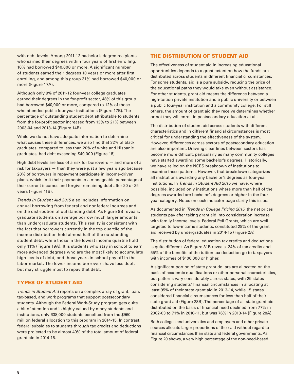with debt levels. Among 2011-12 bachelor's degree recipients who earned their degrees within four years of first enrolling, 10% had borrowed \$40,000 or more. A significant number of students earned their degrees 10 years or more after first enrolling, and among this group 31% had borrowed \$40,000 or more (Figure 17A).

Although only 9% of 2011-12 four-year college graduates earned their degrees in the for-profit sector, 48% of this group had borrowed \$40,000 or more, compared to 12% of those who attended public four-year institutions (Figure 17B). The percentage of outstanding student debt attributable to students from the for-profit sector increased from 13% to 21% between 2003-04 and 2013-14 (Figure 14B).

While we do not have adequate information to determine what causes these differences, we also find that 32% of black graduates, compared to less than 20% of white and Hispanic graduates, had debt exceeding \$40,000 (Figure 18).

High debt levels are less of a risk for borrowers — and more of a risk for taxpayers — than they were just a few years ago because 20% of borrowers in repayment participate in income-driven plans, which limit their payments to a manageable percentage of their current incomes and forgive remaining debt after 20 or 25 years (Figure 11B).

*Trends in Student Aid 2015* also includes information on annual borrowing from federal and nonfederal sources and on the distribution of outstanding debt. As Figure 8B reveals, graduate students on average borrow much larger amounts than undergraduate students. This reality is consistent with the fact that borrowers currently in the top quartile of the income distribution hold almost half of the outstanding student debt, while those in the lowest income quartile hold only 11% (Figure 19A). It is students who stay in school to earn more advanced degrees who are the most likely to accumulate high levels of debt, and those years in school pay off in the labor market. The lower-income borrowers have less debt, but may struggle most to repay that debt.

## TYPES OF STUDENT AID

*Trends in Student Aid* reports on a complex array of grant, loan, tax-based, and work programs that support postsecondary students. Although the Federal Work-Study program gets quite a bit of attention and is highly valued by many students and institutions, only 638,000 students benefited from the \$960 million federal allocation to this program in 2014-15. In contrast, federal subsidies to students through tax credits and deductions were projected to be almost 40% of the total amount of federal grant aid in 2014-15.

### THE DISTRIBUTION OF STUDENT AID

The effectiveness of student aid in increasing educational opportunities depends to a great extent on how the funds are distributed across students in different financial circumstances. For some students, aid is a pure subsidy, reducing the price of the educational paths they would take even without assistance. For other students, grant aid means the difference between a high-tuition private institution and a public university or between a public four-year institution and a community college. For still others, the amount of grant aid they receive determines whether or not they will enroll in postsecondary education at all.

The distribution of student aid across students with different characteristics and in different financial circumstances is most critical for understanding the effectiveness of the system. However, differences across sectors of postsecondary education are also important. Drawing clear lines between sectors has become more difficult, particularly as many community colleges have started awarding some bachelor's degrees. Historically, we have relied on the NCES breakdown of institutions to examine these patterns. However, that breakdown categorizes all institutions awarding any bachelor's degrees as four-year institutions. In *Trends in Student Aid 2015* we have, where possible, included only institutions where more than half of the degrees awarded are bachelor's degrees or higher in the fouryear category. Notes on each indicator page clarify this issue.

As documented in *Trends in College Pricing 2015*, the net prices students pay after taking grant aid into consideration increase with family income levels. Federal Pell Grants, which are well targeted to low-income students, constituted 29% of the grant aid received by undergraduates in 2014-15 (Figure 2A).

The distribution of federal education tax credits and deductions is quite different. As Figure 31B reveals, 24% of tax credits and 55% of the benefits of the tuition tax deduction go to taxpayers with incomes of \$100,000 or higher.

A significant portion of state grant dollars are allocated on the basis of academic qualifications or other personal characteristics, but patterns vary considerably across states, with 25 states considering students' financial circumstances in allocating at least 95% of their state grant aid in 2013-14, while 15 states considered financial circumstances for less than half of their state grant aid (Figure 28B). The percentage of all state grant aid distributed on the basis of financial need declined from 77% in 2002-03 to 71% in 2010-11, but was 76% in 2013-14 (Figure 28A).

Both colleges and universities and employers and other private sources allocate larger proportions of their aid without regard to financial circumstances than state and federal governments. As Figure 20 shows, a very high percentage of the non-need-based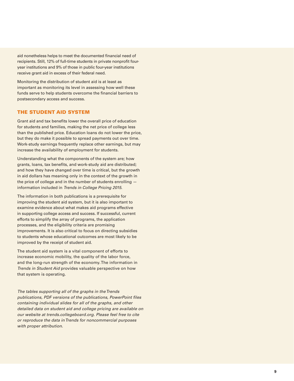aid nonetheless helps to meet the documented financial need of recipients. Still, 12% of full-time students in private nonprofit fouryear institutions and 9% of those in public four-year institutions receive grant aid in excess of their federal need.

Monitoring the distribution of student aid is at least as important as monitoring its level in assessing how well these funds serve to help students overcome the financial barriers to postsecondary access and success.

### THE STUDENT AID SYSTEM

Grant aid and tax benefits lower the overall price of education for students and families, making the net price of college less than the published price. Education loans do not lower the price, but they do make it possible to spread payments out over time. Work-study earnings frequently replace other earnings, but may increase the availability of employment for students.

Understanding what the components of the system are; how grants, loans, tax benefits, and work-study aid are distributed; and how they have changed over time is critical, but the growth in aid dollars has meaning only in the context of the growth in the price of college and in the number of students enrolling information included in *Trends in College Pricing 2015* .

The information in both publications is a prerequisite for improving the student aid system, but it is also important to examine evidence about what makes aid programs effective in supporting college access and success. If successful, current efforts to simplify the array of programs, the application processes, and the eligibility criteria are promising improvements. It is also critical to focus on directing subsidies to students whose educational outcomes are most likely to be improved by the receipt of student aid.

The student aid system is a vital component of efforts to increase economic mobility, the quality of the labor force, and the long-run strength of the economy. The information in *Trends in Student Aid* provides valuable perspective on how that system is operating.

*The tables supporting all of the graphs in the Trends publications, PDF versions of the publications, PowerPoint files containing individual slides for all of the graphs, and other detailed data on student aid and college pricing are available on our website at [trends.collegeboard.org](http://trends.collegeboard.org). Please feel free to cite or reproduce the data in Trends for noncommercial purposes with proper attribution.*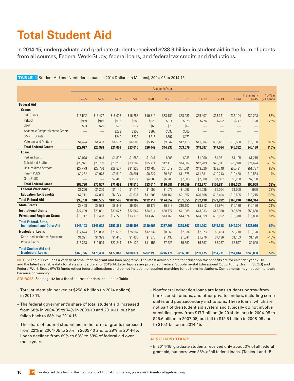## <span id="page-9-0"></span>**Total Student Aid**

In 2014-15, undergraduate and graduate students received \$238.9 billion in student aid in the form of grants from all sources, Federal Work-Study, federal loans, and federal tax credits and deductions.

<span id="page-9-1"></span>TABLE 1 Student Aid and Nonfederal Loans in 2014 Dollars (in Millions), 2004-05 to 2014-15

|                                                         |                               |                                 |           |           |           | Academic Year |           |           |           |           |             |          |
|---------------------------------------------------------|-------------------------------|---------------------------------|-----------|-----------|-----------|---------------|-----------|-----------|-----------|-----------|-------------|----------|
|                                                         |                               |                                 |           |           |           |               |           |           |           |           | Preliminary | 10-Year  |
|                                                         | $04 - 05$                     | $05 - 06$                       | $06-07$   | $07 - 08$ | 08-09     | $09-10$       | $10 - 11$ | $11 - 12$ | $12 - 13$ | $13 - 14$ | $14 - 15$   | % Change |
| <b>Federal Aid</b>                                      |                               |                                 |           |           |           |               |           |           |           |           |             |          |
| <b>Grants</b>                                           |                               |                                 |           |           |           |               |           |           |           |           |             |          |
| <b>Pell Grants</b>                                      | \$16,542                      | \$15,477                        | \$15,006  | \$16,787  | \$19,812  | \$33,182      | \$38,989  | \$35,407  | \$33,341  | \$32,104  | \$30,293    | 83%      |
| <b>FSEOG</b>                                            | \$969                         | \$949                           | \$902     | \$882     | \$820     | \$814         | \$828     | \$776     | \$762     | \$747     | \$728       | $-25%$   |
| LEAP                                                    | \$83                          | \$79                            | \$75      | \$74      | \$69      | \$70          | \$67      |           |           |           |             |          |
| Academic Competitiveness Grants                         |                               | $\hspace{0.1mm}-\hspace{0.1mm}$ | \$283     | \$353     | \$368     | \$530         | \$605     |           |           |           |             |          |
| <b>SMART Grants</b>                                     | $\overbrace{\phantom{12333}}$ |                                 | \$240     | \$234     | \$216     | \$397         | \$473     |           |           |           |             |          |
| Veterans and Military                                   | \$4,424                       | \$4,493                         | \$4,557   | \$4,686   | \$5,156   | \$9,942       | \$12,118  | \$11,904  | \$13,481  | \$13,530  | \$15,160    | 243%     |
| <b>Total Federal Grants</b>                             | \$22,017                      | \$20,998                        | \$21,064  | \$23,016  | \$26,442  | \$44,935      | \$53,079  | \$48,087  | \$47,584  | \$46,382  | \$46,180    | 110%     |
| Loans                                                   |                               |                                 |           |           |           |               |           |           |           |           |             |          |
| Perkins Loans                                           | \$2,078                       | \$1,943                         | \$1,895   | \$1,582   | \$1,041   | \$905         | \$936     | \$1,000   | \$1,051   | \$1,195   | \$1,215     | $-42%$   |
| <b>Subsidized Stafford</b>                              | \$29,971                      | \$29,799                        | \$29,285  | \$33,282  | \$35,774  | \$42,118      | \$44,382  | \$42,789  | \$28,911  | \$26,970  | \$24,674    | $-18%$   |
| <b>Unsubsidized Stafford</b>                            | \$27,479                      | \$28,786                        | \$28,507  | \$31,328  | \$43,785  | \$51,519      | \$51,561  | \$49,520  | \$58,749  | \$56,431  | \$51,737    | 88%      |
| <b>Parent PLUS</b>                                      | \$9,262                       | \$9,978                         | \$9,519   | \$8,801   | \$8,327   | \$9,849       | \$11,575  | \$11,681  | \$10,213  | \$10,488  | \$10,564    | 14%      |
| <b>Grad PLUS</b>                                        |                               | $\overline{\phantom{m}}$        | \$2,448   | \$3,522   | \$4,686   | \$6,289       | \$7,605   | \$7,888   | \$7,907   | \$8,268   | \$7,768     |          |
| <b>Total Federal Loans</b>                              | \$68,790                      | \$70,507                        | \$71,653  | \$78,515  | \$93,614  | \$110,681     | \$116,059 | \$112,877 | \$106,831 | \$103,353 | \$95,959    | 39%      |
| <b>Federal Work-Study</b>                               | \$1,250                       | \$1,200                         | \$1,140   | \$1,114   | \$1,055   | \$1,076       | \$1,065   | \$1,025   | \$1,004   | \$1,000   | \$960       | $-23%$   |
| <b>Education Tax Benefits</b>                           | \$7,711                       | \$7,800                         | \$7,708   | \$7,637   | \$11,603  | \$18,161      | \$21,652  | \$20,508  | \$18,404  | \$18,505  | \$18,215    | 136%     |
| <b>Total Federal Aid</b>                                | \$99.768                      | \$100,505                       | \$101,566 | \$110,282 | \$132,714 | \$174,852     | \$191,855 | \$182,498 | \$173,822 | \$169,240 | \$161,314   | 62%      |
| <b>State Grants</b>                                     | \$8,408                       | \$8,588                         | \$8,948   | \$9,205   | \$9,172   | \$9,818       | \$10,100  | \$9,912   | \$9,974   | \$10,136  | \$10,136    | 21%      |
| <b>Institutional Grants</b>                             | \$27,209                      | \$29,031                        | \$30,627  | \$32,644  | \$34,314  | \$38,777      | \$41,888  | \$43,933  | \$46,360  | \$48,559  | \$50,660    | 86%      |
| <b>Private and Employer Grants</b>                      | \$10,717                      | \$11,498                        | \$12,223  | \$13,176  | \$13,463  | \$13,763      | \$14,524  | \$14,859  | \$15,162  | \$16,370  | \$16,800    | 57%      |
| <b>Total Federal, State,</b>                            |                               |                                 |           |           |           |               |           |           |           |           |             |          |
| <b>Institutional, and Other Aid</b>                     | \$146,103                     | \$149,622                       | \$153,364 | \$165,307 | \$189,663 | \$237,209     | \$258,367 | \$251,202 | \$245,318 | \$244,304 | \$238,910   | 64%      |
| <b>Nonfederal Loans</b>                                 | \$17,674                      | \$20,838                        | \$23,685  | \$25,564  | \$12,532  | \$8,961       | \$7,934   | \$7,973   | \$9,453   | \$9,710   | \$10,120    | $-43%$   |
| State- and Institution-Sponsored                        | \$1,321                       | \$1,329                         | \$1,440   | \$1,430   | \$1,376   | \$1,438       | \$1,344   | \$1,276   | \$1,196   | \$1,163   | \$1,120     | $-15%$   |
| <b>Private Sector</b>                                   | \$16,353                      | \$19,509                        | \$22,244  | \$24,134  | \$11,156  | \$7,523       | \$6,590   | \$6,697   | \$8,257   | \$8,547   | \$9,000     | $-45%$   |
| <b>Total Student Aid and</b><br><b>Nonfederal Loans</b> | \$163,776                     | \$170,460                       | \$177,048 | \$190.871 | \$202,195 | \$246,171     | \$266,301 | \$259,175 | \$254,771 | \$254,014 | \$249,030   | 52%      |

NOTES: Table 1 excludes a variety of small federal grant and loan programs. The latest available data for education tax benefits are for calendar year 2013 and the latest available data for state grant aid are for 2013-14. Later figures are projected. Federal Supplemental Educational Opportunity Grant (FSEOG) and Federal Work-Study (FWS) funds reflect federal allocations and do not include the required matching funds from institutions. Components may not sum to totals because of rounding.

SOURCES: See page 42 for a list of sources for data included in Table 1.

- Total student aid peaked at \$258.4 billion (in 2014 dollars) in 2010-11.
- The federal government's share of total student aid increased from 68% in 2004-05 to 74% in 2009-10 and 2010-11, but had fallen back to 68% by 2014-15.
- The share of federal student aid in the form of grants increased from 22% in 2004-05 to 26% in 2009-10 and to 29% in 2014-15. Loans declined from 69% to 63% to 59% of federal aid over these years.
- Nonfederal education loans are loans students borrow from banks, credit unions, and other private lenders, including some states and postsecondary institutions. These loans, which are not part of the student aid system and typically do not involve subsidies, grew from \$17.7 billion (in 2014 dollars) in 2004-05 to \$25.6 billion in 2007-08, but fell to \$12.5 billion in 2008-09 and to \$10.1 billion in 2014-15.

### **ALSO IMPORTANT:**

– In 2014-15, graduate students received only about 3% of all federal grant aid, but borrowed 35% of all federal loans. (Tables 1 and 1B)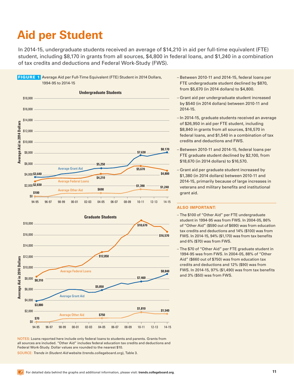## <span id="page-10-0"></span>**Aid per Student**

In 2014-15, undergraduate students received an average of \$14,210 in aid per full-time equivalent (FTE) student, including \$8,170 in grants from all sources, \$4,800 in federal loans, and \$1,240 in a combination of tax credits and deductions and Federal Work-Study (FWS).

<span id="page-10-1"></span>



NOTES: Loans reported here include only federal loans to students and parents. Grants from all sources are included. "Other Aid" includes federal education tax credits and deductions and Federal Work-Study. Dollar values are rounded to the nearest \$10.

SOURCE: *Trends in Student Aid* website ([trends.collegeboard.org](http://trends.collegeboard.org)), Table 3.

- Between 2010-11 and 2014-15, federal loans per FTE undergraduate student declined by \$870, from \$5,670 (in 2014 dollars) to \$4,800.
- Grant aid per undergraduate student increased by \$540 (in 2014 dollars) between 2010-11 and 2014-15.
- In 2014-15, graduate students received an average of \$26,950 in aid per FTE student, including \$8,840 in grants from all sources, \$16,570 in federal loans, and \$1,540 in a combination of tax credits and deductions and FWS.
- Between 2010-11 and 2014-15, federal loans per FTE graduate student declined by \$2,100, from \$18,670 (in 2014 dollars) to \$16,570.
- Grant aid per graduate student increased by \$1,380 (in 2014 dollars) between 2010-11 and 2014-15, primarily because of large increases in veterans and military benefits and institutional grant aid.

- The \$100 of "Other Aid" per FTE undergraduate student in 1994-95 was from FWS. In 2004-05, 86% of "Other Aid" (\$590 out of \$690) was from education tax credits and deductions and 14% (\$100) was from FWS. In 2014-15, 94% (\$1,170) was from tax benefits and 6% (\$70) was from FWS.
- The \$70 of "Other Aid" per FTE graduate student in 1994-95 was from FWS. In 2004-05, 88% of "Other Aid" (\$660 out of \$750) was from education tax credits and deductions and 12% (\$90) was from FWS. In 2014-15, 97% (\$1,490) was from tax benefits and 3% (\$50) was from FWS.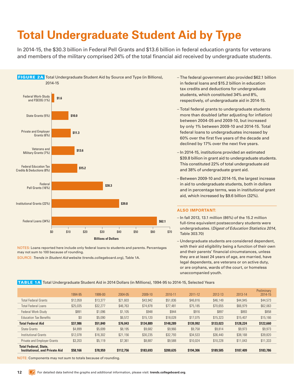# <span id="page-11-0"></span>**Total Undergraduate Student Aid by Type**

In 2014-15, the \$30.3 billion in Federal Pell Grants and \$13.6 billion in federal education grants for veterans and members of the military comprised 24% of the total financial aid received by undergraduate students.

<span id="page-11-1"></span>

NOTES: Loans reported here include only federal loans to students and parents. Percentages may not sum to 100 because of rounding.

SOURCE: *Trends in Student Aid* website ([trends.collegeboard.org\)](http://trends.collegeboard.org), Table 1A.

- The federal government also provided \$62.1 billion in federal loans and \$15.2 billion in education tax credits and deductions for undergraduate students, which constituted 34% and 8%, respectively, of undergraduate aid in 2014-15.
- Total federal grants to undergraduate students more than doubled (after adjusting for inflation) between 2004-05 and 2009-10, but increased by only 1% between 2009-10 and 2014-15. Total federal loans to undergraduates increased by 60% over the first five years of the decade and declined by 17% over the next five years.
- In 2014-15, institutions provided an estimated \$39.8 billion in grant aid to undergraduate students. This constituted 22% of total undergraduate aid and 38% of undergraduate grant aid.
- Between 2009-10 and 2014-15, the largest increase in aid to undergraduate students, both in dollars and in percentage terms, was in institutional grant aid, which increased by \$9.6 billion (32%).

#### **ALSO IMPORTANT:**

- In fall 2013, 13.1 million (86%) of the 15.2 million full-time equivalent postsecondary students were undergraduates. (*Digest of Education Statistics 2014*, Table 303.70)
- Undergraduate students are considered dependent, with their aid eligibility being a function of their own and their parents' financial circumstances, unless they are at least 24 years of age, are married, have legal dependents, are veterans or on active duty, or are orphans, wards of the court, or homeless unaccompanied youth.

TABLE 1A Total Undergraduate Student Aid in 2014 Dollars (in Millions), 1994-95 to 2014-15, Selected Years

|          |          | 2004-05   | 2009-10   | 2010-11   | 2011-12   | 2012-13   | 2013-14   | Preliminary<br>2014-15 |
|----------|----------|-----------|-----------|-----------|-----------|-----------|-----------|------------------------|
| \$12,059 | \$13,377 | \$21,603  | \$43,942  | \$51,836  | \$46,816  | \$46,149  | \$44,945  | \$44,573               |
| \$25,035 | \$32,277 | \$46,763  | \$74,878  | \$77,481  | \$75,185  | \$70,655  | \$66,979  | \$62,063               |
| \$891    | \$1,096  | \$1,105   | \$948     | \$944     | \$916     | \$897     | \$893     | \$858                  |
| \$0      | \$5,090  | \$6,572   | \$15,120  | \$18,028  | \$17,075  | \$15,323  | \$15,407  | \$15,166               |
| \$37,986 | \$51,840 | \$76,043  | \$134,889 | \$148,289 | \$139,992 | \$133,023 | \$128,224 | \$122,660              |
| \$4,899  | \$5,699  | \$8,195   | \$9,682   | \$9,966   | \$9,758   | \$9,814   | \$9,973   | \$9,973                |
| \$12,078 | \$16,302 | \$21,156  | \$30,235  | \$32,793  | \$34,533  | \$36,440  | \$38,168  | \$39,820               |
| \$3,203  | \$5,119  | \$7,361   | \$8,887   | \$9,588   | \$10,024  | \$10,228  | \$11,043  | \$11,333               |
| \$58,166 | \$78,959 | \$112,756 | \$183,693 | \$200,635 | \$194,306 | \$189,505 | \$187,409 | \$183,786              |
|          | 1994-95  | 1999-00   |           |           |           |           |           |                        |

NOTE: Components may not sum to totals because of rounding.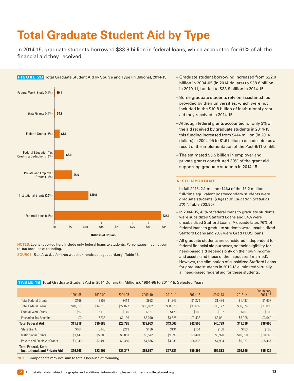# <span id="page-12-0"></span>**Total Graduate Student Aid by Type**

In 2014-15, graduate students borrowed \$33.9 billion in federal loans, which accounted for 61% of all the financial aid they received.

<span id="page-12-1"></span>

NOTES: Loans reported here include only federal loans to students. Percentages may not sum to 100 because of rounding.

SOURCE: *Trends in Student Aid* website ([trends.collegeboard.org\)](http://trends.collegeboard.org), Table 1B.

- Graduate student borrowing increased from \$22.0 billion in 2004-05 (in 2014 dollars) to \$38.6 billion in 2010-11, but fell to \$33.9 billion in 2014-15.
- Some graduate students rely on assistantships provided by their universities, which were not included in the \$10.8 billion of institutional grant aid they received in 2014-15.
- Although federal grants accounted for only 3% of the aid received by graduate students in 2014-15, this funding increased from \$414 million (in 2014 dollars) in 2004-05 to \$1.6 billion a decade later as a result of the implementation of the Post-9/11 GI Bill.
- The estimated \$5.5 billion in employer and private grants constituted 30% of the grant aid supporting graduate students in 2014-15.

### **ALSO IMPORTANT:**

- In fall 2013, 2.1 million (14%) of the 15.2 million full-time equivalent postsecondary students were graduate students. (*Digest of Education Statistics 2014*, Table 303.80)
- In 2004-05, 43% of federal loans to graduate students were subsidized Stafford Loans and 54% were unsubsidized Stafford Loans. A decade later, 76% of federal loans to graduate students were unsubsidized Stafford Loans and 23% were Grad PLUS loans.
- All graduate students are considered independent for federal financial aid purposes, so their eligibility for need-based aid depends only on their own income and assets (and those of their spouses if married). However, the elimination of subsidized Stafford Loans for graduate students in 2012-13 eliminated virtually all need-based federal aid for these students.

### TABLE 1B Total Graduate Student Aid in 2014 Dollars (in Millions), 1994-95 to 2014-15, Selected Years

| 1994-95  | 1999-00  | 2004-05  | 2009-10  | 2010-11  | 2011-12  | 2012-13  | 2013-14  | Preliminary<br>2014-15 |
|----------|----------|----------|----------|----------|----------|----------|----------|------------------------|
| \$169    | \$209    | \$414    | \$993    | \$1,243  | \$1.271  | \$1,434  | \$1,437  | \$1,607                |
| \$10,951 | \$14,518 | \$22,027 | \$35,802 | \$38,578 | \$37,692 | \$36,177 | \$36,374 | \$33,896               |
| \$97     | \$119    | \$145    | \$127    | \$120    | \$109    | \$107    | \$107    | \$103                  |
| \$0      | \$836    | \$1,139  | \$3,040  | \$3,625  | \$3,433  | \$3,081  | \$3,098  | \$3,049                |
| \$11,218 | \$15,683 | \$23,725 | \$39,963 | \$43,566 | \$42,506 | \$40,799 | \$41,016 | \$38,655               |
| \$164    | \$146    | \$213    | \$136    | \$134    | \$154    | \$160    | \$163    | \$163                  |
| \$3,447  | \$5,580  | \$6,053  | \$8,542  | \$9,095  | \$9,401  | \$9,920  | \$10,390 | \$10,840               |
| \$1,340  | \$2,499  | \$3,356  | \$4,876  | \$4,936  | \$4,835  | \$4,934  | \$5,327  | \$5,467                |
| \$16,168 | \$23,907 | \$33,347 | \$53,517 | \$57,731 | \$56,896 | \$55,813 | \$56,896 | \$55,125               |
|          |          |          |          |          |          |          |          |                        |

NOTE: Components may not sum to totals because of rounding.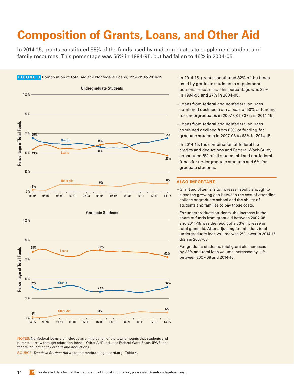## <span id="page-13-1"></span><span id="page-13-0"></span>**Composition of Grants, Loans, and Other Aid**

In 2014-15, grants constituted 55% of the funds used by undergraduates to supplement student and family resources. This percentage was 55% in 1994-95, but had fallen to 46% in 2004-05.

<span id="page-13-2"></span>

NOTES: Nonfederal loans are included as an indication of the total amounts that students and parents borrow through education loans. "Other Aid" includes Federal Work-Study (FWS) and federal education tax credits and deductions.

SOURCE: *Trends in Student Aid* website ([trends.collegeboard.org](http://trends.collegeboard.org)), Table 4.

- In 2014-15, grants constituted 32% of the funds used by graduate students to supplement personal resources. This percentage was 32% in 1994-95 and 27% in 2004-05.
- Loans from federal and nonfederal sources combined declined from a peak of 50% of funding for undergraduates in 2007-08 to 37% in 2014-15.
- Loans from federal and nonfederal sources combined declined from 69% of funding for graduate students in 2007-08 to 63% in 2014-15.
- In 2014-15, the combination of federal tax credits and deductions and Federal Work-Study constituted 8% of all student aid and nonfederal funds for undergraduate students and 6% for graduate students.

- Grant aid often fails to increase rapidly enough to close the growing gap between the cost of attending college or graduate school and the ability of students and families to pay those costs.
- For undergraduate students, the increase in the share of funds from grant aid between 2007-08 and 2014-15 was the result of a 63% increase in total grant aid. After adjusting for inflation, total undergraduate loan volume was 2% lower in 2014-15 than in 2007-08.
- For graduate students, total grant aid increased by 38% and total loan volume increased by 11% between 2007-08 and 2014-15.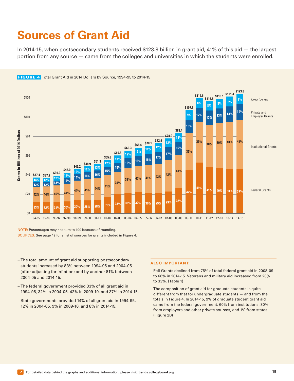## <span id="page-14-1"></span><span id="page-14-0"></span>**Sources of Grant Aid**

In 2014-15, when postsecondary students received \$123.8 billion in grant aid, 41% of this aid — the largest portion from any source — came from the colleges and universities in which the students were enrolled.



<span id="page-14-2"></span>FIGURE 4 Total Grant Aid in 2014 Dollars by Source, 1994-95 to 2014-15

NOTE: Percentages may not sum to 100 because of rounding. SOURCES: See page 42 for a list of sources for grants included in Figure 4.

- The total amount of grant aid supporting postsecondary students increased by 83% between 1994-95 and 2004-05 (after adjusting for inflation) and by another 81% between 2004-05 and 2014-15.
- The federal government provided 33% of all grant aid in 1994-95, 32% in 2004-05, 42% in 2009-10, and 37% in 2014-15.
- State governments provided 14% of all grant aid in 1994-95, 12% in 2004-05, 9% in 2009-10, and 8% in 2014-15.

- Pell Grants declined from 75% of total federal grant aid in 2008-09 to 66% in 2014-15. Veterans and military aid increased from 20% to 33%. (Table 1)
- The composition of grant aid for graduate students is quite different from that for undergraduate students — and from the totals in Figure 4. In 2014-15, 9% of graduate student grant aid came from the federal government, 60% from institutions, 30% from employers and other private sources, and 1% from states. (Figure 2B)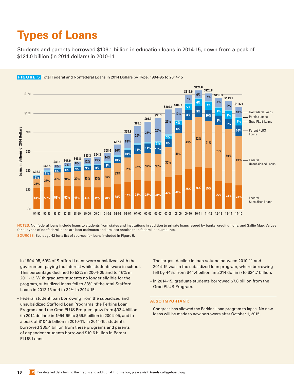## <span id="page-15-0"></span>**Types of Loans**

Students and parents borrowed \$106.1 billion in education loans in 2014-15, down from a peak of \$124.0 billion (in 2014 dollars) in 2010-11.



#### <span id="page-15-1"></span>FIGURE 5 Total Federal and Nonfederal Loans in 2014 Dollars by Type, 1994-95 to 2014-15

NOTES: Nonfederal loans include loans to students from states and institutions in addition to private loans issued by banks, credit unions, and Sallie Mae. Values for all types of nonfederal loans are best estimates and are less precise than federal loan amounts. SOURCES: See page 42 for a list of sources for loans included in Figure 5.

- In 1994-95, 69% of Stafford Loans were subsidized, with the government paying the interest while students were in school. This percentage declined to 52% in 2004-05 and to 46% in 2011-12. With graduate students no longer eligible for the program, subsidized loans fell to 33% of the total Stafford Loans in 2012-13 and to 32% in 2014-15.
- Federal student loan borrowing from the subsidized and unsubsidized Stafford Loan Programs, the Perkins Loan Program, and the Grad PLUS Program grew from \$33.4 billion (in 2014 dollars) in 1994-95 to \$59.5 billion in 2004-05, and to a peak of \$104.5 billion in 2010-11. In 2014-15, students borrowed \$85.4 billion from these programs and parents of dependent students borrowed \$10.6 billion in Parent PLUS Loans.
- The largest decline in loan volume between 2010-11 and 2014-15 was in the subsidized loan program, where borrowing fell by 44%, from \$44.4 billion (in 2014 dollars) to \$24.7 billion.
- In 2014-15, graduate students borrowed \$7.8 billion from the Grad PLUS Program.

### **ALSO IMPORTANT:**

– Congress has allowed the Perkins Loan program to lapse. No new loans will be made to new borrowers after October 1, 2015.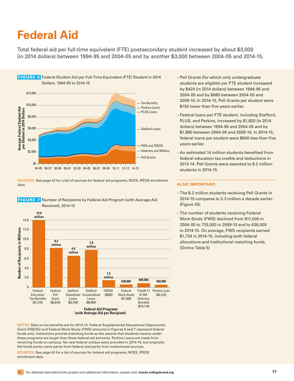## <span id="page-16-1"></span><span id="page-16-0"></span>**Federal Aid**

Total federal aid per full-time equivalent (FTE) postsecondary student increased by about \$3,000 (in 2014 dollars) between 1994-95 and 2004-05 and by another \$3,000 between 2004-05 and 2014-15.

<span id="page-16-2"></span>

SOURCES: See page 42 for a list of sources for federal aid programs; NCES, IPEDS enrollment data.



<span id="page-16-3"></span>

NOTES: Data on tax benefits are for 2013-14. Federal Supplemental Educational Opportunity Grant (FSEOG) and Federal Work-Study (FWS) amounts in Figures 6 and 7 represent federal funds only. Institutions provide matching funds so the awards that students receive under these programs are larger than these federal aid amounts. Perkins Loans are made from revolving funds on campus. No new federal outlays were provided in 2014-15, but originally the funds partly came partly from federal and partly from institutional sources.

SOURCES: See page 42 for a list of sources for federal aid programs; NCES, IPEDS enrollment data.

- Pell Grants (for which only undergraduate students are eligible) per FTE student increased by \$420 (in 2014 dollars) between 1994-95 and 2004-05 and by \$880 between 2004-05 and 2009-10. In 2014-15, Pell Grants per student were \$150 lower than five years earlier.
- Federal loans per FTE student, including Stafford, PLUS, and Perkins, increased by \$1,820 (in 2014 dollars) between 1994-95 and 2004-05 and by \$1,880 between 2004-05 and 2009-10. In 2014-15, federal loans per student were \$840 less than five years earlier.
- An estimated 14 million students benefited from federal education tax credits and deductions in 2013-14. Pell Grants were awarded to 8.2 million students in 2014-15.

- The 8.2 million students receiving Pell Grants in 2014-15 compares to 5.3 million a decade earlier. (Figure 25)
- The number of students receiving Federal Work-Study (FWS) declined from 811,000 in 2004-05 to 733,000 in 2009-10 and to 638,000 in 2014-15. On average, FWS recipients earned \$1,734 in 2014-15, including both federal allocations and institutional matching funds. (Online Table 5)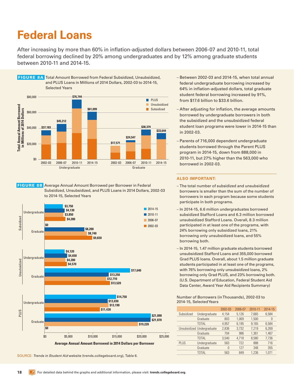## <span id="page-17-1"></span><span id="page-17-0"></span>**Federal Loans**

After increasing by more than 60% in inflation-adjusted dollars between 2006-07 and 2010-11, total federal borrowing declined by 20% among undergraduates and by 12% among graduate students between 2010-11 and 2014-15.

<span id="page-17-2"></span>

<span id="page-17-3"></span> FIGURE 8B Average Annual Amount Borrowed per Borrower in Federal Subsidized, Unsubsidized, and PLUS Loans in 2014 Dollars, 2002-03 to 2014-15, Selected Years



SOURCE: *Trends in Student Aid* website ([trends.collegeboard.org\)](http://trends.collegeboard.org), Table 6.

- Between 2002-03 and 2014-15, when total annual federal undergraduate borrowing increased by 64% in inflation-adjusted dollars, total graduate student federal borrowing increased by 91%, from \$17.6 billion to \$33.6 billion.
- After adjusting for inflation, the average amounts borrowed by undergraduate borrowers in both the subsidized and the unsubsidized federal student loan programs were lower in 2014-15 than in 2002-03.
- Parents of 716,000 dependent undergraduate students borrowed through the Parent PLUS program in 2014-15, down from 888,000 in 2010-11, but 27% higher than the 563,000 who borrowed in 2002-03.

### **ALSO IMPORTANT:**

- The total number of subsidized and unsubsidized borrowers is smaller than the sum of the number of borrowers in each program because some students participate in both programs.
- In 2014-15, 6.6 million undergraduates borrowed subsidized Stafford Loans and 6.3 million borrowed unsubsidized Stafford Loans. Overall, 8.3 million participated in at least one of the programs, with 24% borrowing only subsidized loans, 21% borrowing only unsubsidized loans, and 55% borrowing both.
- In 2014-15, 1.47 million graduate students borrowed unsubsidized Stafford Loans and 355,000 borrowed Grad PLUS loans. Overall, about 1.5 million graduate students participated in at least one of the programs, with 76% borrowing only unsubsidized loans, 2% borrowing only Grad PLUS, and 23% borrowing both. (U.S. Department of Education, Federal Student Aid Data Center, Award Year Aid Recipients Summary)

#### Number of Borrowers (in Thousands), 2002-03 to 2014-15, Selected Years

|             |                            | 2002-03  | 2006-07 | 2010-11 | 2014-15 |
|-------------|----------------------------|----------|---------|---------|---------|
| Subsidized  | Undergraduate              | 4.154    | 5.126   | 7.665   | 6.584   |
|             | Graduate                   | 803      | 1.069   | 1.500   | 0       |
|             | <b>TOTAL</b>               | 4.957    | 6,195   | 9,165   | 6,584   |
|             | Unsubsidized Undergraduate | 2.836    | 3.732   | 7.219   | 6,269   |
|             | Graduate                   | 704      | 986     | 1.361   | 1.467   |
|             | <b>TOTAL</b>               | 3.540    | 4.718   | 8.580   | 7.736   |
| <b>PLUS</b> | Undergraduate              | 563      | 722     | 888     | 716     |
|             | Graduate                   | $\Omega$ | 127     | 348     | 355     |
|             | <b>TOTAL</b>               | 563      | 849     | 1.236   | 1.071   |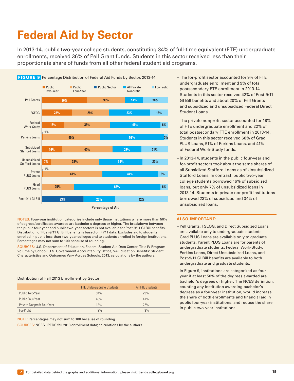## <span id="page-18-0"></span>**Federal Aid by Sector**

In 2013-14, public two-year college students, constituting 34% of full-time equivalent (FTE) undergraduate enrollments, received 36% of Pell Grant funds. Students in this sector received less than their proportionate share of funds from all other federal student aid programs.

<span id="page-18-1"></span>

NOTES: Four-year institution categories include only those institutions where more than 50% of degrees/certificates awarded are bachelor's degrees or higher. The breakdown between the public four-year and public two-year sectors is not available for Post-9/11 GI Bill benefits. Distribution of Post-9/11 GI Bill benefits is based on FY11 data. Excludes aid to students enrolled in public less-than-two-year colleges and to students enrolled in foreign institutions. Percentages may not sum to 100 because of rounding.

SOURCES: U.S. Department of Education, Federal Student Aid Data Center, Title IV Program Volume by School; U.S. Government Accountability Office, VA Education Benefits: Student Characteristics and Outcomes Vary Across Schools, 2013; calculations by the authors.

### Distribution of Fall 2013 Enrollment by Sector

|                             | <b>FTE Undergraduate Students</b> | <b>All FTE Students</b> |
|-----------------------------|-----------------------------------|-------------------------|
| Public Two-Year             | 34%                               | 29%                     |
| Public Four-Year            | 40%                               | 41%                     |
| Private Nonprofit Four-Year | 18%                               | 22%                     |
| For-Profit                  | 9%                                | 9%                      |

NOTE: Percentages may not sum to 100 because of rounding.

SOURCES: NCES, IPEDS fall 2013 enrollment data; calculations by the authors.

- undergraduate enrollment and 9% of total postsecondary FTE enrollment in 2013-14. Students in this sector received 42% of Post-9/11 GI Bill benefits and about 20% of Pell Grants and subsidized and unsubsidized Federal Direct Student Loans.
- The private nonprofit sector accounted for 18% of FTE undergraduate enrollment and 22% of total postsecondary FTE enrollment in 2013-14. Students in this sector received 68% of Grad PLUS Loans, 51% of Perkins Loans, and 41% of Federal Work-Study funds.
- In 2013-14, students in the public four-year and for-profit sectors took about the same shares of all Subsidized Stafford Loans as of Unsubsidized Stafford Loans. In contrast, public two-year college students borrowed 16% of subsidized loans, but only 7% of unsubsidized loans in 2013-14. Students in private nonprofit institutions borrowed 23% of subsidized and 34% of unsubsidized loans.

- Pell Grants, FSEOG, and Direct Subsidized Loans are available only to undergraduate students. Grad PLUS Loans are available only to graduate students. Parent PLUS Loans are for parents of undergraduate students. Federal Work-Study, Perkins Loans, Direct Unsubsidized Loans, and Post-9/11 GI Bill benefits are available to both undergraduate and graduate students.
- In Figure 9, institutions are categorized as fouryear if at least 50% of the degrees awarded are bachelor's degrees or higher. The NCES definition, counting any institution awarding bachelor's degrees as a four-year institution, would increase the share of both enrollments and financial aid in public four-year institutions, and reduce the share in public two-year institutions.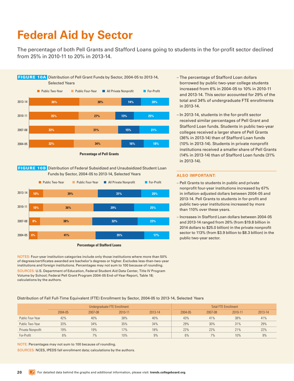# <span id="page-19-0"></span>**Federal Aid by Sector**

The percentage of both Pell Grants and Stafford Loans going to students in the for-profit sector declined from 25% in 2010-11 to 20% in 2013-14.

<span id="page-19-1"></span>

<span id="page-19-2"></span>FIGURE 10B Distribution of Federal Subsidized and Unsubsidized Student Loan Funds by Sector, 2004-05 to 2013-14, Selected Years



**Percentage of Stafford Loans** 

NOTES: Four-year institution categories include only those institutions where more than 50% of degrees/certificates awarded are bachelor's degrees or higher. Excludes less-than-two-year institutions and foreign institutions. Percentages may not sum to 100 because of rounding.

SOURCES: U.S. Department of Education, Federal Student Aid Data Center, Title IV Program Volume by School; Federal Pell Grant Program 2004-05 End-of-Year Report, Table 18; calculations by the authors.

- The percentage of Stafford Loan dollars borrowed by public two-year college students increased from 6% in 2004-05 to 10% in 2010-11 and 2013-14. This sector accounted for 29% of the total and 34% of undergraduate FTE enrollments in 2013-14.
- In 2013-14, students in the for-profit sector received similar percentages of Pell Grant and Stafford Loan funds. Students in public two-year colleges received a larger share of Pell Grants (36% in 2013-14) than of Stafford Loan funds (10% in 2013-14). Students in private nonprofit institutions received a smaller share of Pell Grants (14% in 2013-14) than of Stafford Loan funds (31% in 2013-14).

### **ALSO IMPORTANT:**

- Pell Grants to students in public and private nonprofit four-year institutions increased by 67% in inflation-adjusted dollars between 2004-05 and 2013-14. Pell Grants to students in for-profit and public two-year institutions increased by more than 110% over these years.
- Increases in Stafford Loan dollars between 2004-05 and 2013-14 ranged from 26% (from \$19.8 billion in 2014 dollars to \$25.0 billion) in the private nonprofit sector to 113% (from \$3.9 billion to \$8.3 billion) in the public two-year sector.

Distribution of Fall Full-Time Equivalent (FTE) Enrollment by Sector, 2004-05 to 2013-14, Selected Years

|                   |         | <b>Total FTE Enrollment</b> |         |         |         |         |         |         |
|-------------------|---------|-----------------------------|---------|---------|---------|---------|---------|---------|
|                   | 2004-05 | 2007-08                     | 2010-11 | 2013-14 | 2004-05 | 2007-08 | 2010-11 | 2013-14 |
| Public Four-Year  | 42%     | 40%                         | 38%     | 40%     | 43%     | 41%     | 38%     | 41%     |
| Public Two-Year   | 33%     | 34%                         | 35%     | 34%     | 29%     | 30%     | 31%     | 29%     |
| Private Nonprofit | 19%     | 19%                         | 17%     | 18%     | 22%     | 22%     | 21%     | 22%     |
| For-Profit        | 6%      | 7%                          | 10%     | 9%      | 6%      | 7%      | 10%     | 9%      |

NOTE: Percentages may not sum to 100 because of rounding.

SOURCES: NCES, IPEDS fall enrollment data; calculations by the authors.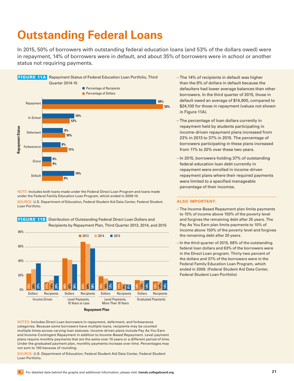## <span id="page-20-1"></span><span id="page-20-0"></span>**Outstanding Federal Loans**

In 2015, 50% of borrowers with outstanding federal education loans (and 53% of the dollars owed) were in repayment, 14% of borrowers were in default, and about 35% of borrowers were in school or another status not requiring payments.

<span id="page-20-2"></span>

NOTE: Includes both loans made under the Federal Direct Loan Program and loans made under the Federal Family Education Loan Program, which ended in 2009-10. SOURCE: U.S. Department of Education, Federal Student Aid Data Center, Federal Student Loan Portfolio.

<span id="page-20-3"></span>



NOTES: Includes Direct Loan borrowers in repayment, deferment, and forbearance categories. Because some borrowers have multiple loans, recipients may be counted multiple times across varying loan statuses. Income-driven plans include Pay As You Earn and Income-Contingent Repayment in addition to Income-Based Repayment. Level payment plans require monthly payments that are the same over 10 years or a different period of time. Under the graduated payment plan, monthly payments increase over time. Percentages may not sum to 100 because of rounding.

SOURCE: U.S. Department of Education, Federal Student Aid Data Center, Federal Student Loan Portfolio.

- The 14% of recipients in default was higher than the 9% of dollars in default because the defaulters had lower average balances than other borrowers. In the third quarter of 2015, those in default owed an average of \$14,900, compared to \$24,100 for those in repayment (values not shown in Figure 11A).
- The percentage of loan dollars currently in repayment held by students participating in income-driven repayment plans increased from 23% in 2013 to 37% in 2015. The percentage of borrowers participating in these plans increased from 11% to 20% over these two years.
- In 2015, borrowers holding 37% of outstanding federal education loan debt currently in repayment were enrolled in income-driven repayment plans where their required payments were limited to a specified manageable percentage of their incomes.

- The Income-Based Repayment plan limits payments to 15% of income above 150% of the poverty level and forgives the remaining debt after 25 years. The Pay As You Earn plan limits payments to 10% of income above 150% of the poverty level and forgives the remaining debt after 20 years.
- In the third quarter of 2015, 68% of the outstanding federal loan dollars and 63% of the borrowers were in the Direct Loan program. Thirty-two percent of the dollars and 37% of the borrowers were in the Federal Family Education Loan Program, which ended in 2009. (Federal Student Aid Data Center, Federal Student Loan Portfolio)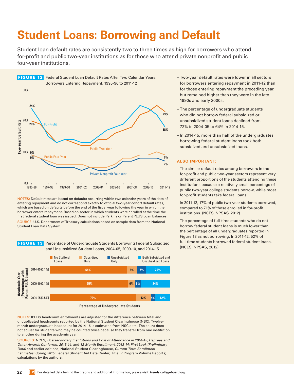## <span id="page-21-0"></span>**Student Loans: Borrowing and Default**

Student loan default rates are consistently two to three times as high for borrowers who attend for-profit and public two-year institutions as for those who attend private nonprofit and public four-year institutions.

<span id="page-21-1"></span>

NOTES: Default rates are based on defaults occurring within two calendar years of the date of entering repayment and do not correspond exactly to official two-year cohort default rates, which are based on defaults before the end of the fiscal year following the year in which the borrower enters repayment. Based on sector in which students were enrolled at the time the first federal student loan was issued. Does not include Perkins or Parent PLUS Loan balances. SOURCE: U.S. Department of Treasury calculations based on sample data from the National Student Loan Data System.

<span id="page-21-2"></span>



NOTES: IPEDS headcount enrollments are adjusted for the difference between total and unduplicated headcounts reported by the National Student Clearinghouse (NSC). Twelvemonth undergraduate headcount for 2014-15 is estimated from NSC data. The count does not adjust for students who may be counted twice because they transfer from one institution to another during the academic year.

SOURCES: NCES, *Postsecondary Institutions and Cost of Attendance in 2014-15; Degrees and Other Awards Conferred, 2013-14*, and *12-Month Enrollment, 2013-14: First Look (Preliminary Data)* and earlier editions; National Student Clearinghouse, *Current Term Enrollment Estimates: Spring 2015*; Federal Student Aid Data Center, Title IV Program Volume Reports; calculations by the authors.

- Two-year default rates were lower in all sectors for borrowers entering repayment in 2011-12 than for those entering repayment the preceding year, but remained higher than they were in the late 1990s and early 2000s.
- The percentage of undergraduate students who did not borrow federal subsidized or unsubsidized student loans declined from 72% in 2004-05 to 64% in 2014-15.
- In 2014-15, more than half of the undergraduates borrowing federal student loans took both subsidized and unsubsidized loans.

- The similar default rates among borrowers in the for-profit and public two-year sectors represent very different proportions of the students attending these institutions because a relatively small percentage of public two-year college students borrow, while most for-profit students take federal loans.
- In 2011-12, 17% of public two-year students borrowed, compared to 71% of those enrolled in for-profit institutions. (NCES, NPSAS, 2012)
- The percentage of full-time students who do not borrow federal student loans is much lower than the percentage of all undergraduates reported in Figure 13 as not borrowing. In 2011-12, 52% of full-time students borrowed federal student loans. (NCES, NPSAS, 2012)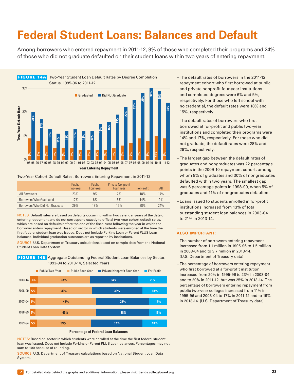## <span id="page-22-1"></span><span id="page-22-0"></span>**Federal Student Loans: Balances and Default**

Among borrowers who entered repayment in 2011-12, 9% of those who completed their programs and 24% of those who did not graduate defaulted on their student loans within two years of entering repayment.

<span id="page-22-2"></span>

#### Two-Year Cohort Default Rates, Borrowers Entering Repayment in 2011-12

|                                | Public.<br>Two-Year | <b>Public</b><br>Four-Year | <b>Private Nonprofit</b><br>Four-Year | For-Profit | All |
|--------------------------------|---------------------|----------------------------|---------------------------------------|------------|-----|
| All Borrowers                  | 23%                 | 9%                         | 7%                                    | 18%        | 14% |
| Borrowers Who Graduated        | 17%                 | 6%                         | 5%                                    | 14%        | 9%  |
| Borrowers Who Did Not Graduate | 29%                 | 18%                        | 15%                                   | 28%        | 24% |

NOTES: Default rates are based on defaults occurring within two calendar years of the date of entering repayment and do not correspond exactly to official two-year cohort default rates, which are based on defaults before the end of the fiscal year following the year in which the borrower enters repayment. Based on sector in which students were enrolled at the time the first federal student loan was issued. Does not include Perkins Loan or Parent PLUS Loan balances. Individual graduation outcomes are as reported by institutions.

SOURCE: U.S. Department of Treasury calculations based on sample data from the National Student Loan Data System.

<span id="page-22-3"></span>FIGURE 14B Aggregate Outstanding Federal Student Loan Balances by Sector, 1993-94 to 2013-14, Selected Years



**Percentage of Federal Loan Balances** 

NOTES: Based on sector in which students were enrolled at the time the first federal student loan was issued. Does not include Perkins or Parent PLUS Loan balances. Percentages may not sum to 100 because of rounding.

SOURCE: U.S. Department of Treasury calculations based on National Student Loan Data System.

- The default rates of borrowers in the 2011-12 repayment cohort who first borrowed at public and private nonprofit four-year institutions and completed degrees were 6% and 5%, respectively. For those who left school with no credential, the default rates were 18% and 15%, respectively.
- The default rates of borrowers who first borrowed at for-profit and public two-year institutions and completed their programs were 14% and 17%, respectively. For those who did not graduate, the default rates were 28% and 29%, respectively.
- The largest gap between the default rates of graduates and nongraduates was 22 percentage points in the 2009-10 repayment cohort, among whom 8% of graduates and 30% of nongraduates defaulted within two years. The smallest gap was 6 percentage points in 1998-99, when 5% of graduates and 11% of nongraduates defaulted.
- Loans issued to students enrolled in for-profit institutions increased from 13% of total outstanding student loan balances in 2003-04 to 21% in 2013-14.

- The number of borrowers entering repayment increased from 1.1 million in 1995-96 to 1.5 million in 2003-04 and to 3.7 million in 2013-14. (U.S. Department of Treasury data)
- The percentage of borrowers entering repayment who first borrowed at a for-profit institution increased from 20% in 1995-96 to 23% in 2003-04 and to 29% in 2011-12, but was 25% in 2013-14. The percentage of borrowers entering repayment from public two-year colleges increased from 11% in 1995-96 and 2003-04 to 17% in 2011-12 and to 19% in 2013-14. (U.S. Department of Treasury data)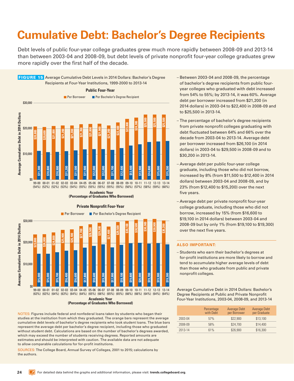## <span id="page-23-0"></span>**Cumulative Debt: Bachelor's Degree Recipients**

Debt levels of public four-year college graduates grew much more rapidly between 2008-09 and 2013-14 than between 2003-04 and 2008-09, but debt levels of private nonprofit four-year college graduates grew more rapidly over the first half of the decade.

<span id="page-23-1"></span>



### **Private Nonprofit Four-Year**

NOTES: Figures include federal and nonfederal loans taken by students who began their studies at the institution from which they graduated. The orange bars represent the average cumulative debt levels of bachelor's degree recipients who took student loans. The blue bars represent the average debt per bachelor's degree recipient, including those who graduated without student debt. Calculations are based on the number of bachelor's degrees awarded, which may exceed the number of students receiving degrees. Reported amounts are estimates and should be interpreted with caution. The available data are not adequate to allow comparable calculations for for-profit institutions.

SOURCES: The College Board, Annual Survey of Colleges, 2001 to 2015; calculations by the authors.

- Between 2003-04 and 2008-09, the percentage of bachelor's degree recipients from public fouryear colleges who graduated with debt increased from 54% to 55%; by 2013-14, it was 60%. Average debt per borrower increased from \$21,200 (in 2014 dollars) in 2003-04 to \$22,400 in 2008-09 and to \$25,500 in 2013-14.
- The percentage of bachelor's degree recipients from private nonprofit colleges graduating with debt fluctuated between 64% and 66% over the decade from 2003-04 to 2013-14. Average debt per borrower increased from \$26,100 (in 2014 dollars) in 2003-04 to \$29,500 in 2008-09 and to \$30,200 in 2013-14.
- Average debt per public four-year college graduate, including those who did not borrow, increased by 8% (from \$11,500 to \$12,400 in 2014 dollars) between 2003-04 and 2008-09, and by 23% (from \$12,400 to \$15,200) over the next five years.
- Average debt per private nonprofit four-year college graduate, including those who did not borrow, increased by 15% (from \$16,600 to \$19,100 in 2014 dollars) between 2003-04 and 2008-09 but by only 1% (from \$19,100 to \$19,300) over the next five years.

## **ALSO IMPORTANT:**

– Students who earn their bachelor's degrees at for-profit institutions are more likely to borrow and tend to accumulate higher average levels of debt than those who graduate from public and private nonprofit colleges.

Average Cumulative Debt in 2014 Dollars: Bachelor's Degree Recipients at Public and Private Nonprofit Four-Year Institutions, 2003-04, 2008-09, and 2013-14

|         | Percentage<br>with Debt | <b>Average Debt</b><br>per Borrower | <b>Average Debt</b><br>per Graduate |
|---------|-------------------------|-------------------------------------|-------------------------------------|
| 2003-04 | 57%                     | \$22,900                            | \$13,100                            |
| 2008-09 | 58%                     | \$24,700                            | \$14,400                            |
| 2013-14 | 61%                     | \$26,900                            | \$16,300                            |

<sup>(</sup>Percentage of Graduates Who Borrowed)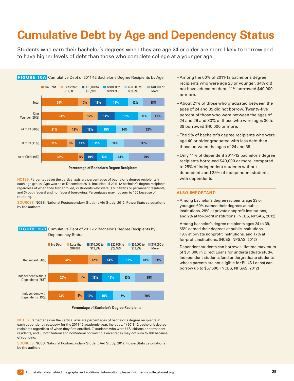# <span id="page-24-1"></span><span id="page-24-0"></span>**Cumulative Debt by Age and Dependency Status**

Students who earn their bachelor's degrees when they are age 24 or older are more likely to borrow and to have higher levels of debt than those who complete college at a younger age.

<span id="page-24-2"></span>

**Percentage of Bachelor's Degree Recipients** 

NOTES: Percentages on the vertical axis are percentages of bachelor's degree recipients in each age group. Age was as of December 2011. Includes: 1) 2011-12 bachelor's degree recipients regardless of when they first enrolled, 2) students who were U.S. citizens or permanent residents, and 3) both federal and nonfederal borrowing. Percentages may not sum to 100 because of rounding.

SOURCES: NCES, National Postsecondary Student Aid Study, 2012; PowerStats calculations by the authors.



### <span id="page-24-3"></span> FIGURE 16B Cumulative Debt of 2011-12 Bachelor's Degree Recipients by Dependency Status

#### **Percentage of Bachelor's Degree Recipients**

NOTES: Percentages on the vertical axis are percentages of bachelor's degree recipients in each dependency category for the 2011-12 academic year. Includes: 1) 2011-12 bachelor's degree recipients regardless of when they first enrolled, 2) students who were U.S. citizens or permanent residents, and 3) both federal and nonfederal borrowing. Percentages may not sum to 100 because of rounding.

SOURCES: NCES, National Postsecondary Student Aid Study, 2012; PowerStats calculations by the authors.

- Among the 60% of 2011-12 bachelor's degree recipients who were age 23 or younger, 34% did not have education debt; 11% borrowed \$40,000 or more.
- About 21% of those who graduated between the ages of 24 and 39 did not borrow. Twenty-five percent of those who were between the ages of 24 and 29 and 33% of those who were ages 30 to 39 borrowed \$40,000 or more.
- The 9% of bachelor's degree recipients who were age 40 or older graduated with less debt than those between the ages of 24 and 39.
- Only 11% of dependent 2011-12 bachelor's degree recipients borrowed \$40,000 or more, compared to 25% of independent students without dependents and 29% of independent students with dependents.

- Among bachelor's degree recipients age 23 or younger, 60% earned their degrees at public institutions, 29% at private nonprofit institutions, and 2% at for-profit institutions. (NCES, NPSAS, 2012)
- Among bachelor's degree recipients ages 24 to 39, 55% earned their degrees at public institutions, 19% at private nonprofit institutions, and 17% at for-profit institutions. (NCES, NPSAS, 2012)
- Dependent students can borrow a lifetime maximum of \$31,000 in Direct Loans for undergraduate study. Independent students (and undergraduate students whose parents are not eligible for PLUS Loans) can borrow up to \$57,500. (NCES, NPSAS, 2012)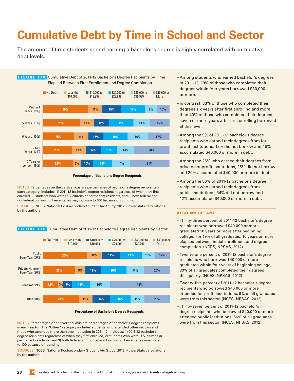## <span id="page-25-1"></span><span id="page-25-0"></span>**Cumulative Debt by Time in School and Sector**

The amount of time students spend earning a bachelor's degree is highly correlated with cumulative debt levels.

<span id="page-25-2"></span>

**Percentage of Bachelor's Degree Recipients** 

NOTES: Percentages on the vertical axis are percentages of bachelor's degree recipients in each category. Includes: 1) 2011-12 bachelor's degree recipients regardless of when they first enrolled, 2) students who were U.S. citizens or permanent residents, and 3) both federal and nonfederal borrowing. Percentages may not sum to 100 because of rounding.

SOURCES: NCES, National Postsecondary Student Aid Study, 2012; PowerStats calculations by the authors.

<span id="page-25-3"></span>**FIGURE 17B** Cumulative Debt of 2011-12 Bachelor's Degree Recipients by Sector



**Percentage of Bachelor's Degree Recipients** 

NOTES: Percentages on the vertical axis are percentages of bachelor's degree recipients in each sector. The "Other" category includes students who attended other sectors and those who attended more than one institution in 2011-12. Includes: 1) 2011-12 bachelor's degree recipients regardless of when they first enrolled, 2) students who were U.S. citizens or permanent residents, and 3) both federal and nonfederal borrowing. Percentages may not sum to 100 because of rounding.

SOURCES: NCES, National Postsecondary Student Aid Study, 2012; PowerStats calculations by the authors.

- Among students who earned bachelor's degrees in 2011-12, 19% of those who completed their degrees within four years borrowed \$30,000 or more.
- In contrast, 33% of those who completed their degrees six years after first enrolling and more than 40% of those who completed their degrees seven or more years after first enrolling borrowed at this level.
- Among the 9% of 2011-12 bachelor's degree recipients who earned their degrees from forprofit institutions, 12% did not borrow and 48% accumulated \$40,000 or more in debt.
- Among the 26% who earned their degrees from private nonprofit institutions, 25% did not borrow and 20% accumulated \$40,000 or more in debt.
- Among the 56% of 2011-12 bachelor's degree recipients who earned their degrees from public institutions, 34% did not borrow and 12% accumulated \$40,000 or more in debt.

- Thirty-three percent of 2011-12 bachelor's degree recipients who borrowed \$40,000 or more graduated 10 years or more after beginning college. For 19% of all graduates, 10 years or more elapsed between initial enrollment and degree completion. (NCES, NPSAS, 2012)
- Twenty-one percent of 2011-12 bachelor's degree recipients who borrowed \$40,000 or more graduated within four years of beginning college; 39% of all graduates completed their degrees this quickly. (NCES, NPSAS, 2012)
- Twenty-five percent of 2011-12 bachelor's degree recipients who borrowed \$40,000 or more attended for-profit institutions; 9% of all graduates were from this sector. (NCES, NPSAS, 2012)
- Thirty-seven percent of 2011-12 bachelor's degree recipients who borrowed \$40,000 or more attended public institutions; 56% of all graduates were from this sector. (NCES, NPSAS, 2012)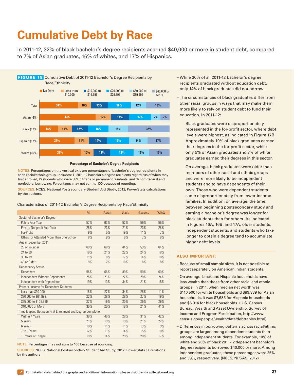## <span id="page-26-1"></span><span id="page-26-0"></span>**Cumulative Debt by Race**

In 2011-12, 32% of black bachelor's degree recipients accrued \$40,000 or more in student debt, compared to 7% of Asian graduates, 16% of whites, and 17% of Hispanics.

<span id="page-26-3"></span><span id="page-26-2"></span>

#### **Percentage of Bachelor's Degree Recipients**

NOTES: Percentages on the vertical axis are percentages of bachelor's degree recipients in each racial/ethnic group. Includes: 1) 2011-12 bachelor's degree recipients regardless of when they first enrolled, 2) students who were U.S. citizens or permanent residents, and 3) both federal and nonfederal borrowing. Percentages may not sum to 100 because of rounding.

SOURCES: NCES, National Postsecondary Student Aid Study, 2012; PowerStats calculations by the authors.

Characteristics of 2011-12 Bachelor's Degree Recipients by Race/Ethnicity

|                                                             | All | Asian | <b>Black</b> | <b>Hispanic</b> | <b>White</b> |  |  |  |
|-------------------------------------------------------------|-----|-------|--------------|-----------------|--------------|--|--|--|
| Sector of Bachelor's Degree                                 |     |       |              |                 |              |  |  |  |
| Public Four-Year                                            | 57% | 63%   | 52%          | 59%             | 56%          |  |  |  |
| Private Nonprofit Four-Year                                 | 26% | 23%   | 21%          | 23%             | 28%          |  |  |  |
| For-Profit                                                  | 9%  | 5%    | 19%          | 11%             | 7%           |  |  |  |
| Others or Attended More Than One School                     | 8%  | 9%    | 8%           | 7%              | 8%           |  |  |  |
| Age in December 2011                                        |     |       |              |                 |              |  |  |  |
| 23 or Younger                                               | 60% | 68%   | 44%          | 53%             | 64%          |  |  |  |
| 24 to 29                                                    | 19% | 21%   | 22%          | 24%             | 18%          |  |  |  |
| 30 to 39                                                    | 11% | 8%    | 17%          | 14%             | 10%          |  |  |  |
| 40 or Older                                                 | 9%  | 2%    | 18%          | 8%              | 8%           |  |  |  |
| <b>Dependency Status</b>                                    |     |       |              |                 |              |  |  |  |
| Dependent                                                   | 56% | 66%   | 39%          | 50%             | 60%          |  |  |  |
| <b>Independent Without Dependents</b>                       | 25% | 21%   | 27%          | 29%             | 24%          |  |  |  |
| Independent with Dependents                                 | 19% | 13%   | 34%          | 21%             | 16%          |  |  |  |
| Parents' Income for Dependent Students                      |     |       |              |                 |              |  |  |  |
| Less than \$30,000                                          | 16% | 27%   | 34%          | 28%             | 11%          |  |  |  |
| \$30,000 to \$64,999                                        | 22% | 28%   | 28%          | 27%             | 19%          |  |  |  |
| \$65,000 to \$105,999                                       | 27% | 19%   | 20%          | 25%             | 29%          |  |  |  |
| \$106,000 or More                                           | 36% | 26%   | 18%          | 21%             | 41%          |  |  |  |
| Time Elapsed Between First Enrollment and Degree Completion |     |       |              |                 |              |  |  |  |
| Within 4 Years                                              | 39% | 46%   | 28%          | 31%             | 42%          |  |  |  |
| 5 Years                                                     | 21% | 19%   | 19%          | 21%             | 22%          |  |  |  |
| 6 Years                                                     | 10% | 11%   | 11%          | 13%             | 9%           |  |  |  |
| 7 to 9 Years                                                | 12% | 11%   | 14%          | 15%             | 10%          |  |  |  |
| 10 Years or Longer                                          | 19% | 14%   | 29%          | 20%             | 17%          |  |  |  |

NOTE: Percentages may not sum to 100 because of rounding.

SOURCES: NCES, National Postsecondary Student Aid Study, 2012; PowerStats calculations by the authors.

- While 30% of all 2011-12 bachelor's degree recipients graduated without education debt, only 14% of black graduates did not borrow.
- The circumstances of black graduates differ from other racial groups in ways that may make them more likely to rely on student debt to fund their education. In 2011-12:
	- Black graduates were disproportionately represented in the for-profit sector, where debt levels were highest, as indicated in Figure 17B. Approximately 19% of black graduates earned their degrees in the for-profit sector, while only 5% of Asian graduates and 7% of white graduates earned their degrees in this sector.
	- On average, black graduates were older than members of other racial and ethnic groups and were more likely to be independent students and to have dependents of their own. Those who were dependent students came disproportionately from lower-income families. In addition, on average, the time between beginning postsecondary study and earning a bachelor's degree was longer for black students than for others. As indicated in Figures 16A, 16B, and 17A, older students, independent students, and students who take longer to obtain a degree tend to accumulate higher debt levels.

- Because of small sample sizes, it is not possible to report separately on American Indian students.
- On average, black and Hispanic households have less wealth than those from other racial and ethnic groups. In 2011, when median net worth was \$110,500 for white households and \$89,339 for Asian households, it was \$7,683 for Hispanic households and \$6,314 for black households. (U.S. Census Bureau, Wealth and Asset Ownership, Survey of Income and Program Participation, [http://www.](http://www.census.gov/people/wealth/data/debttables.html) [census.gov/people/wealth/data/debttables.html](http://www.census.gov/people/wealth/data/debttables.html))
- Differences in borrowing patterns across racial/ethnic groups are larger among dependent students than among independent students. For example, 10% of white and 20% of black 2011-12 dependent bachelor's degree recipients borrowed \$40,000 or more. Among independent graduates, these percentages were 25% and 39%, respectively. (NCES, NPSAS, 2012)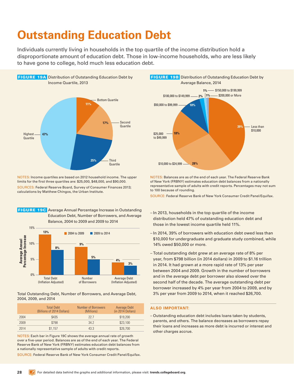## <span id="page-27-1"></span><span id="page-27-0"></span>**Outstanding Education Debt**

Individuals currently living in households in the top quartile of the income distribution hold a disproportionate amount of education debt. Those in low-income households, who are less likely to have gone to college, hold much less education debt.

<span id="page-27-2"></span>

NOTES: Income quartiles are based on 2012 household income. The upper limits for the first three quartiles are: \$25,000, \$48,000, and \$90,000. SOURCES: Federal Reserve Board, Survey of Consumer Finances 2013; calculations by Matthew Chingos, the Urban Institute.

<span id="page-27-4"></span>



Total Outstanding Debt, Number of Borrowers, and Average Debt, 2004, 2009, and 2014

|      | <b>Total Debt</b><br>(Billions of 2014 Dollars) | Number of Borrowers<br>(Millions) | Average Debt<br>(in 2014 Dollars) |
|------|-------------------------------------------------|-----------------------------------|-----------------------------------|
| 2004 | \$435                                           | 22.7                              | \$19,200                          |
| 2009 | \$798                                           | 34.2                              | \$23,100                          |
| 2014 | \$1.157                                         | 43.3                              | \$26,700                          |

NOTES: Each bar in Figure 19C shows the average annual rate of growth over a five-year period. Balances are as of the end of each year. The Federal Reserve Bank of New York (FRBNY) estimates education debt balances from a nationally representative sample of adults with credit reports.

SOURCE: Federal Reserve Bank of New York Consumer Credit Panel/Equifax.

<span id="page-27-3"></span>

NOTES: Balances are as of the end of each year. The Federal Reserve Bank of New York (FRBNY) estimates education debt balances from a nationally representative sample of adults with credit reports. Percentages may not sum to 100 because of rounding.

SOURCE: Federal Reserve Bank of New York Consumer Credit Panel/Equifax.

- In 2013, households in the top quartile of the income distribution held 47% of outstanding education debt and those in the lowest income quartile held 11%.
- In 2014, 39% of borrowers with education debt owed less than \$10,000 for undergraduate and graduate study combined, while 14% owed \$50,000 or more.
- Total outstanding debt grew at an average rate of 8% per year, from \$798 billion (in 2014 dollars) in 2009 to \$1.16 trillion in 2014. It had grown at a more rapid rate of 13% per year between 2004 and 2009. Growth in the number of borrowers and in the average debt per borrower also slowed over the second half of the decade. The average outstanding debt per borrower increased by 4% per year from 2004 to 2009, and by 3% per year from 2009 to 2014, when it reached \$26,700.

#### **ALSO IMPORTANT:**

– Outstanding education debt includes loans taken by students, parents, and others. The balance decreases as borrowers repay their loans and increases as more debt is incurred or interest and other charges accrue.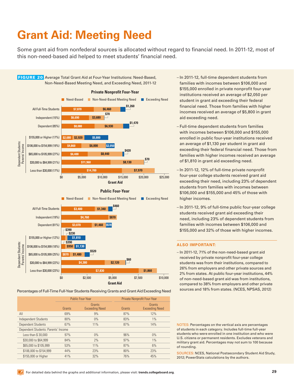# <span id="page-28-1"></span><span id="page-28-0"></span>**Grant Aid: Meeting Need**

Some grant aid from nonfederal sources is allocated without regard to financial need. In 2011-12, most of this non-need-based aid helped to meet students' financial need.

<span id="page-28-2"></span>

Percentages of Full-Time Full-Year Students Receiving Grants and Grant Aid Exceeding Need

|                                     | <b>Public Four-Year</b> |                                 |        | Private Nonprofit Four-Year     |
|-------------------------------------|-------------------------|---------------------------------|--------|---------------------------------|
|                                     | Grants                  | Grants<br><b>Exceeding Need</b> | Grants | Grants<br><b>Exceeding Need</b> |
| All                                 | 69%                     | 9%                              | 87%    | 12%                             |
| <b>Independent Students</b>         | 80%                     | 0%                              | 83%    | $1\%$                           |
| <b>Dependent Students</b>           | 67%                     | 11%                             | 87%    | 14%                             |
| Dependent Students: Parents' Income |                         |                                 |        |                                 |
| Less than \$30,000                  | 97%                     | 0%                              | 96%    | $0\%$                           |
| \$30,000 to \$64,999                | 84%                     | 2%                              | 97%    | $1\%$                           |
| \$65,000 to \$105,999               | 53%                     | 11%                             | 87%    | 6%                              |
| \$106,000 to \$154,999              | 44%                     | 23%                             | 80%    | 23%                             |
| \$155,000 or Higher                 | 41%                     | 32%                             | 76%    | 45%                             |

- In 2011-12, full-time dependent students from families with incomes between \$106,000 and \$155,000 enrolled in private nonprofit four-year institutions received an average of \$2,050 per student in grant aid exceeding their federal financial need. Those from families with higher incomes received an average of \$5,800 in grant aid exceeding need.
- Full-time dependent students from families with incomes between \$106,000 and \$155,000 enrolled in public four-year institutions received an average of \$1,130 per student in grant aid exceeding their federal financial need. Those from families with higher incomes received an average of \$1,810 in grant aid exceeding need.
- In 2011-12, 12% of full-time private nonprofit four-year college students received grant aid exceeding their need, including 23% of dependent students from families with incomes between \$106,000 and \$155,000 and 45% of those with higher incomes.
- In 2011-12, 9% of full-time public four-year college students received grant aid exceeding their need, including 23% of dependent students from families with incomes between \$106,000 and \$155,000 and 32% of those with higher incomes.

### **ALSO IMPORTANT:**

– In 2011-12, 71% of the non-need-based grant aid received by private nonprofit four-year college students was from their institutions, compared to 26% from employers and other private sources and 2% from states. At public four-year institutions, 44% of non-need-based grant aid was from institutions, compared to 38% from employers and other private sources and 18% from states. (NCES, NPSAS, 2012)

NOTES: Percentages on the vertical axis are percentages of students in each category. Includes full-time full-year students who were enrolled in one institution and who were U.S. citizens or permanent residents. Excludes veterans and military grant aid. Percentages may not sum to 100 because of rounding.

SOURCES: NCES, National Postsecondary Student Aid Study, 2012; PowerStats calculations by the authors.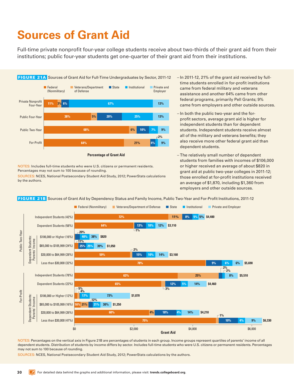# <span id="page-29-0"></span>**Sources of Grant Aid**

Full-time private nonprofit four-year college students receive about two-thirds of their grant aid from their institutions; public four-year students get one-quarter of their grant aid from their institutions.

<span id="page-29-1"></span>

NOTES: Includes full-time students who were U.S. citizens or permanent residents. Percentages may not sum to 100 because of rounding.

SOURCES: NCES, National Postsecondary Student Aid Study, 2012; PowerStats calculations by the authors.

- In 2011-12, 21% of the grant aid received by fulltime students enrolled in for-profit institutions came from federal military and veterans assistance and another 64% came from other federal programs, primarily Pell Grants; 9% came from employers and other outside sources.
- In both the public two-year and the forprofit sectors, average grant aid is higher for independent students than for dependent students. Independent students receive almost all of the military and veterans benefits; they also receive more other federal grant aid than dependent students.
- The relatively small number of dependent students from families with incomes of \$106,000 or higher received an average of about \$820 in grant aid at public two-year colleges in 2011-12; those enrolled at for-profit institutions received an average of \$1,870, including \$1,360 from employers and other outside sources.

<span id="page-29-2"></span>FIGURE 21B Sources of Grant Aid by Dependency Status and Family Income, Public Two-Year and For-Profit Institutions, 2011-12



NOTES: Percentages on the vertical axis in Figure 21B are percentages of students in each group. Income groups represent quartiles of parents' income of all dependent students. Distribution of students by income differs by sector. Includes full-time students who were U.S. citizens or permanent residents. Percentages may not sum to 100 because of rounding.

SOURCES: NCES, National Postsecondary Student Aid Study, 2012; PowerStats calculations by the authors.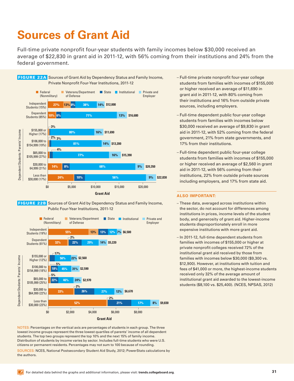## <span id="page-30-0"></span>**Sources of Grant Aid**

Full-time private nonprofit four-year students with family incomes below \$30,000 received an average of \$22,830 in grant aid in 2011-12, with 56% coming from their institutions and 24% from the federal government.

<span id="page-30-1"></span>

<span id="page-30-2"></span>



NOTES: Percentages on the vertical axis are percentages of students in each group. The three lowest income groups represent the three lowest quartiles of parents' income of all dependent students. The top two groups represent the top 10% and the next 15% of family income. Distribution of students by income varies by sector. Includes full-time students who were U.S. citizens or permanent residents. Percentages may not sum to 100 because of rounding.

SOURCES: NCES, National Postsecondary Student Aid Study, 2012; PowerStats calculations by the authors.

- Full-time private nonprofit four-year college students from families with incomes of \$155,000 or higher received an average of \$11,690 in grant aid in 2011-12, with 80% coming from their institutions and 16% from outside private sources, including employers.
- Full-time dependent public four-year college students from families with incomes below \$30,000 received an average of \$9,830 in grant aid in 2011-12, with 52% coming from the federal government, 21% from state governments, and 17% from their institutions.
- Full-time dependent public four-year college students from families with incomes of \$155,000 or higher received an average of \$2,560 in grant aid in 2011-12, with 56% coming from their institutions, 22% from outside private sources including employers, and 17% from state aid.

- These data, averaged across institutions within the sector, do not account for differences among institutions in prices, income levels of the student body, and generosity of grant aid. Higher-income students disproportionately enroll in more expensive institutions with more grant aid.
- In 2011-12, full-time dependent students from families with incomes of \$155,000 or higher at private nonprofit colleges received 72% of the institutional grant aid received by those from families with incomes below \$30,000 (\$9,300 vs. \$12,900). However, at institutions with tuition and fees of \$41,000 or more, the highest-income students received only 32% of the average amount of institutional grant aid awarded to the lowest-income students (\$8,100 vs. \$25,400). (NCES, NPSAS, 2012)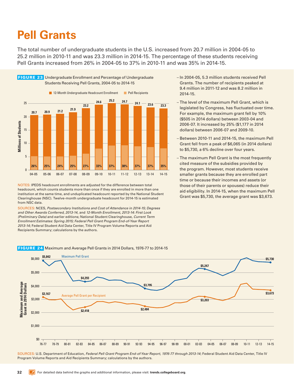<span id="page-31-0"></span>The total number of undergraduate students in the U.S. increased from 20.7 million in 2004-05 to 25.2 million in 2010-11 and was 23.3 million in 2014-15. The percentage of these students receiving Pell Grants increased from 26% in 2004-05 to 37% in 2010-11 and was 35% in 2014-15.

<span id="page-31-1"></span>

NOTES: IPEDS headcount enrollments are adjusted for the difference between total headcount, which counts students more than once if they are enrolled in more than one institution at the same time, and unduplicated headcount reported by the National Student Clearinghouse (NSC). Twelve-month undergraduate headcount for 2014-15 is estimated from NSC data.

SOURCES: NCES, *Postsecondary Institutions and Cost of Attendance in 2014-15; Degrees and Other Awards Conferred, 2013-14*, and *12-Month Enrollment, 2013-14: First Look (Preliminary Data)* and earlier editions; National Student Clearinghouse, *Current Term Enrollment Estimates: Spring 2015; Federal Pell Grant Program End-of-Year Report 2013-14*; Federal Student Aid Data Center, Title IV Program Volume Reports and Aid Recipients Summary; calculations by the authors.

– In 2004-05, 5.3 million students received Pell Grants. The number of recipients peaked at 9.4 million in 2011-12 and was 8.2 million in 2014-15.

– The level of the maximum Pell Grant, which is legislated by Congress, has fluctuated over time. For example, the maximum grant fell by 10% (\$505 in 2014 dollars) between 2003-04 and 2006-07. It increased by 25% (\$1,177 in 2014 dollars) between 2006-07 and 2009-10.

- Between 2010-11 and 2014-15, the maximum Pell Grant fell from a peak of \$6,065 (in 2014 dollars) to \$5,730, a 6% decline over four years.
- The maximum Pell Grant is the most frequently cited measure of the subsidies provided by the program. However, most students receive smaller grants because they are enrolled part time or because their incomes and assets (or those of their parents or spouses) reduce their aid eligibility. In 2014-15, when the maximum Pell Grant was \$5,730, the average grant was \$3,673.



<span id="page-31-2"></span>FIGURE 24 Maximum and Average Pell Grants in 2014 Dollars, 1976-77 to 2014-15

SOURCES: U.S. Department of Education, *Federal Pell Grant Program End-of-Year Report, 1976-77 through 2013-14*; Federal Student Aid Data Center, Title IV Program Volume Reports and Aid Recipients Summary; calculations by the authors.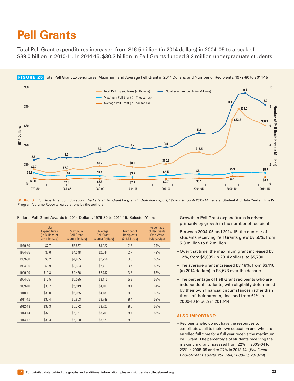<span id="page-32-0"></span>Total Pell Grant expenditures increased from \$16.5 billion (in 2014 dollars) in 2004-05 to a peak of \$39.0 billion in 2010-11. In 2014-15, \$30.3 billion in Pell Grants funded 8.2 million undergraduate students.



<span id="page-32-1"></span>FIGURE 25 Total Pell Grant Expenditures, Maximum and Average Pell Grant in 2014 Dollars, and Number of Recipients, 1979-80 to 2014-15

SOURCES: U.S. Department of Education, *The Federal Pell Grant Program End-of-Year Report, 1979-80 through 2013-14*; Federal Student Aid Data Center, Title IV Program Volume Reports; calculations by the authors.

| Federal Pell Grant Awards in 2014 Dollars, 1979-80 to 2014-15, Selected Years |  |
|-------------------------------------------------------------------------------|--|
|-------------------------------------------------------------------------------|--|

|         | Total<br>Expenditures<br>(in Billions of<br>2014 Dollars) | <b>Maximum</b><br><b>Pell Grant</b><br>(in 2014 Dollars) | Average<br><b>Pell Grant</b><br>(in 2014 Dollars) | Number of<br>Recipients<br>(in Millions) | Percentage<br>of Recipients<br>Who Were<br>Independent |
|---------|-----------------------------------------------------------|----------------------------------------------------------|---------------------------------------------------|------------------------------------------|--------------------------------------------------------|
| 1979-80 | \$7.7                                                     | \$5,867                                                  | \$3,027                                           | 2.5                                      | 34%                                                    |
| 1984-85 | \$7.0                                                     | \$4,348                                                  | \$2,544                                           | 2.7                                      | 49%                                                    |
| 1989-90 | \$9.2                                                     | \$4,405                                                  | \$2,754                                           | 3.3                                      | 59%                                                    |
| 1994-95 | \$8.9                                                     | \$3,693                                                  | \$2,411                                           | 3.7                                      | 59%                                                    |
| 1999-00 | \$10.3                                                    | \$4,466                                                  | \$2,737                                           | 3.8                                      | 56%                                                    |
| 2004-05 | \$16.5                                                    | \$5,095                                                  | \$3,116                                           | 5.3                                      | 58%                                                    |
| 2009-10 | \$33.2                                                    | \$5,919                                                  | \$4,100                                           | 8.1                                      | 61%                                                    |
| 2010-11 | \$39.0                                                    | \$6,065                                                  | \$4,189                                           | 9.3                                      | 60%                                                    |
| 2011-12 | \$35.4                                                    | \$5,853                                                  | \$3,749                                           | 9.4                                      | 59%                                                    |
| 2012-13 | \$33.3                                                    | \$5,772                                                  | \$3,722                                           | 9.0                                      | 58%                                                    |
| 2013-14 | \$32.1                                                    | \$5,757                                                  | \$3,706                                           | 8.7                                      | 56%                                                    |
| 2014-15 | \$30.3                                                    | \$5,730                                                  | \$3,673                                           | 8.2                                      |                                                        |

- Growth in Pell Grant expenditures is driven primarily by growth in the number of recipients.
- Between 2004-05 and 2014-15, the number of students receiving Pell Grants grew by 55%, from 5.3 million to 8.2 million.
- Over that time, the maximum grant increased by 12%, from \$5,095 (in 2014 dollars) to \$5,730.
- The average grant increased by 18%, from \$3,116 (in 2014 dollars) to \$3,673 over the decade.
- The percentage of Pell Grant recipients who are independent students, with eligibility determined by their own financial circumstances rather than those of their parents, declined from 61% in 2009-10 to 56% in 2013-14.

### **ALSO IMPORTANT:**

– Recipients who do not have the resources to contribute at all to their own education and who are enrolled full time for a full year receive the maximum Pell Grant. The percentage of students receiving the maximum grant increased from 22% in 2003-04 to 25% in 2008-09 and to 27% in 2013-14. (*Pell Grant End-of-Year Reports, 2003-04, 2008-09, 2013-14*)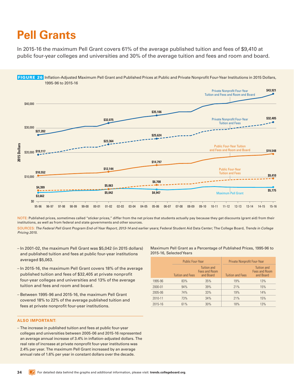<span id="page-33-0"></span>In 2015-16 the maximum Pell Grant covers 61% of the average published tuition and fees of \$9,410 at public four-year colleges and universities and 30% of the average tuition and fees and room and board.

<span id="page-33-1"></span>

NOTE: Published prices, sometimes called "sticker prices," differ from the net prices that students actually pay because they get discounts (grant aid) from their institutions, as well as from federal and state governments and other sources.

SOURCES: *The Federal Pell Grant Program End-of-Year Report, 2013-14* and earlier years; Federal Student Aid Data Center; The College Board, *Trends in College Pricing 2015.*

- In 2001-02, the maximum Pell Grant was \$5,042 (in 2015 dollars) and published tuition and fees at public four-year institutions averaged \$5,063.
- In 2015-16, the maximum Pell Grant covers 18% of the average published tuition and fees of \$32,405 at private nonprofit four-year colleges and universities and 13% of the average tuition and fees and room and board.
- Between 1995-96 and 2015-16, the maximum Pell Grant covered 18% to 22% of the average published tuition and fees at private nonprofit four-year institutions.

### **ALSO IMPORTANT:**

– The increase in published tuition and fees at public four-year colleges and universities between 2005-06 and 2015-16 represented an average annual increase of 3.4% in inflation-adjusted dollars. The real rate of increase at private nonprofit four-year institutions was 2.4% per year. The maximum Pell Grant increased by an average annual rate of 1.6% per year in constant dollars over the decade.

Maximum Pell Grant as a Percentage of Published Prices, 1995-96 to 2015-16, Selected Years

|             | <b>Public Four-Year</b> |                                           | <b>Private Nonprofit Four-Year</b> |                                                  |  |
|-------------|-------------------------|-------------------------------------------|------------------------------------|--------------------------------------------------|--|
|             | <b>Tuition and Fees</b> | Tuition and<br>Fees and Room<br>and Board | <b>Tuition and Fees</b>            | <b>Tuition and</b><br>Fees and Room<br>and Board |  |
| 1995-96     | 83%                     | 35%                                       | 19%                                | 13%                                              |  |
| 2000-01     | 94%                     | 39%                                       | 21%                                | 15%                                              |  |
| $2005 - 06$ | 74%                     | 33%                                       | 19%                                | 14%                                              |  |
| 2010-11     | 73%                     | 34%                                       | 21%                                | 15%                                              |  |
| 2015-16     | 61%                     | 30%                                       | 18%                                | 13%                                              |  |
|             |                         |                                           |                                    |                                                  |  |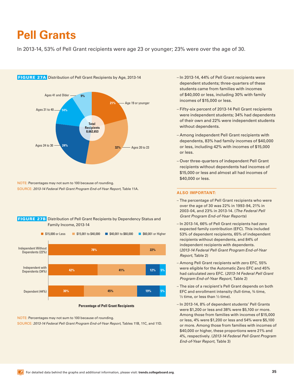<span id="page-34-0"></span>In 2013-14, 53% of Pell Grant recipients were age 23 or younger; 23% were over the age of 30.

<span id="page-34-1"></span>

NOTE: Percentages may not sum to 100 because of rounding. SOURCE: *2013-14 Federal Pell Grant Program End-of-Year Report,* Table 11A.

<span id="page-34-2"></span>



**Percentage of Pell Grant Recipients** 

NOTE: Percentages may not sum to 100 because of rounding. SOURCE: *2013-14 Federal Pell Grant Program End-of-Year Report,* Tables 11B, 11C, and 11D.

- In 2013-14, 44% of Pell Grant recipients were dependent students; three-quarters of these students came from families with incomes of \$40,000 or less, including 30% with family incomes of \$15,000 or less.
- Fifty-six percent of 2013-14 Pell Grant recipients were independent students; 34% had dependents of their own and 22% were independent students without dependents.
- Among independent Pell Grant recipients with dependents, 83% had family incomes of \$40,000 or less, including 42% with incomes of \$15,000 or less.
- Over three-quarters of independent Pell Grant recipients without dependents had incomes of \$15,000 or less and almost all had incomes of \$40,000 or less.

- The percentage of Pell Grant recipients who were over the age of 30 was 22% in 1993-94, 21% in 2003-04, and 23% in 2013-14. (*The Federal Pell Grant Program End-of-Year Reports*)
- In 2013-14, 66% of Pell Grant recipients had zero expected family contribution (EFC). This included 53% of dependent recipients, 65% of independent recipients without dependents, and 84% of independent recipients with dependents. (*2013-14 Federal Pell Grant Program End-of-Year Report*, Table 2)
- Among Pell Grant recipients with zero EFC, 55% were eligible for the Automatic Zero EFC and 45% had calculated zero EFC. (*2013-14 Federal Pell Grant Program End-of-Year Report*, Table 2)
- The size of a recipient's Pell Grant depends on both EFC and enrollment intensity (full-time, ¾ time,  $\frac{1}{2}$  time, or less than  $\frac{1}{2}$  time).
- In 2013-14, 8% of dependent students' Pell Grants were \$1,200 or less and 38% were \$5,100 or more. Among those from families with incomes of \$15,000 or less, 4% were \$1,200 or less and 54% were \$5,100 or more. Among those from families with incomes of \$40,000 or higher, these proportions were 21% and 4%, respectively. (*2013-14 Federal Pell Grant Program End-of-Year Report*, Table 3)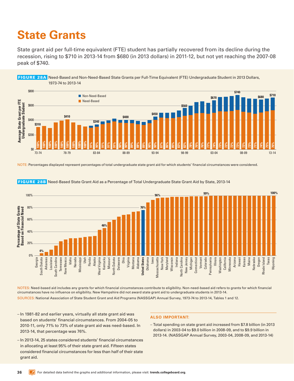## <span id="page-35-0"></span>**State Grants**

State grant aid per full-time equivalent (FTE) student has partially recovered from its decline during the recession, rising to \$710 in 2013-14 from \$680 (in 2013 dollars) in 2011-12, but not yet reaching the 2007-08 peak of \$740.

<span id="page-35-1"></span>

NOTE: Percentages displayed represent percentages of total undergraduate state grant aid for which students' financial circumstances were considered.



<span id="page-35-2"></span>FIGURE 28B Need-Based State Grant Aid as a Percentage of Total Undergraduate State Grant Aid by State, 2013-14

NOTES: Need-based aid includes any grants for which financial circumstances contribute to eligibility. Non-need-based aid refers to grants for which financial circumstances have no influence on eligibility. New Hampshire did not award state grant aid to undergraduate students in 2013-14. SOURCES: National Association of State Student Grant and Aid Programs (NASSGAP) Annual Survey, 1973-74 to 2013-14, Tables 1 and 12.

- In 1981-82 and earlier years, virtually all state grant aid was based on students' financial circumstances. From 2004-05 to 2010-11, only 71% to 73% of state grant aid was need-based. In 2013-14, that percentage was 76%.
- In 2013-14, 25 states considered students' financial circumstances in allocating at least 95% of their state grant aid. Fifteen states considered financial circumstances for less than half of their state grant aid.

### **ALSO IMPORTANT:**

– Total spending on state grant aid increased from \$7.8 billion (in 2013 dollars) in 2003-04 to \$9.0 billion in 2008-09, and to \$9.9 billion in 2013-14. (NASSGAP Annual Survey, 2003-04, 2008-09, and 2013-14)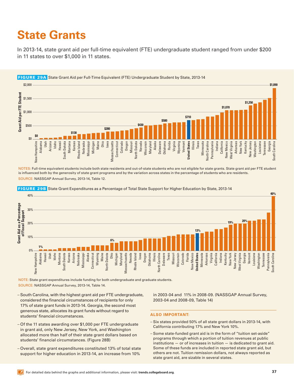## <span id="page-36-0"></span>**State Grants**

In 2013-14, state grant aid per full-time equivalent (FTE) undergraduate student ranged from under \$200 in 11 states to over \$1,000 in 11 states.

<span id="page-36-1"></span>

NOTES: Full-time equivalent students include both state residents and out-of-state students who are not eligible for state grants. State grant aid per FTE student is influenced both by the generosity of state grant programs and by the variation across states in the percentage of students who are residents. SOURCE: NASSGAP Annual Survey, 2013-14, Table 12.



#### <span id="page-36-2"></span>FIGURE 29B State Grant Expenditures as a Percentage of Total State Support for Higher Education by State, 2013-14

NOTE: State grant expenditures include funding for both undergraduate and graduate students. SOURCE: NASSGAP Annual Survey, 2013-14, Table 14.

- South Carolina, with the highest grant aid per FTE undergraduate, considered the financial circumstances of recipients for only 17% of state grant funds in 2013-14. Georgia, the second most generous state, allocates its grant funds without regard to students' financial circumstances.
- Of the 11 states awarding over \$1,000 per FTE undergraduate in grant aid, only New Jersey, New York, and Washington allocated more than half of their state grant dollars based on students' financial circumstances. (Figure 28B)
- Overall, state grant expenditures constituted 13% of total state support for higher education in 2013-14, an increase from 10%

in 2003-04 and 11% in 2008-09. (NASSGAP Annual Survey, 2003-04 and 2008-09, Table 14)

- Six states provided 50% of all state grant dollars in 2013-14, with California contributing 17% and New York 10%.
- Some state-funded grant aid is in the form of "tuition set-aside" programs through which a portion of tuition revenues at public institutions — or of increases in tuition — is dedicated to grant aid. Some of these funds are included in reported state grant aid, but others are not. Tuition remission dollars, not always reported as state grant aid, are sizable in several states.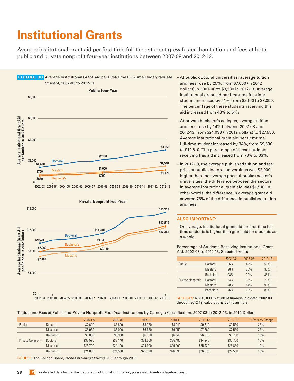## <span id="page-37-1"></span><span id="page-37-0"></span>**Institutional Grants**

Average institutional grant aid per first-time full-time student grew faster than tuition and fees at both public and private nonprofit four-year institutions between 2007-08 and 2012-13.

<span id="page-37-2"></span>

<sup>2002-03 2003-04 2004-05 2005-06 2006-07 2007-08 2008-09 2009-10 2010-11 2011-12 2012-13</sup> 





- At private bachelor's colleges, average tuition and fees rose by 14% between 2007-08 and 2012-13, from \$24,090 (in 2012 dollars) to \$27,530. Average institutional grant aid per first-time full-time student increased by 34%, from \$9,530 to \$12,810. The percentage of these students receiving this aid increased from 78% to 83%.
- In 2012-13, the average published tuition and fee price at public doctoral universities was \$2,000 higher than the average price at public master's universities; the difference between the sectors in average institutional grant aid was \$1,510. In other words, the difference in average grant aid covered 76% of the difference in published tuition and fees.

#### **ALSO IMPORTANT:**

– On average, institutional grant aid for first-time fulltime students is higher than grant aid for students as a whole.

| Aid, 2002-03 to 2012-13, Selected Years |                   |            |         |         |         |  |  |  |
|-----------------------------------------|-------------------|------------|---------|---------|---------|--|--|--|
|                                         |                   |            | 2002-03 | 2007-08 | 2012-13 |  |  |  |
|                                         | Public            | Doctoral   | 36%     | 43%     | 51%     |  |  |  |
|                                         |                   | Master's   | 28%     | 29%     | 39%     |  |  |  |
|                                         |                   | Bachelor's | 23%     | 30%     | 38%     |  |  |  |
|                                         | Private Nonprofit | Doctoral   | 64%     | 66%     | 70%     |  |  |  |
|                                         |                   | Master's   | 78%     | 84%     | 90%     |  |  |  |

Percentage of Students Receiving Institutional Grant Aid, 2002-03 to 2012-13, Selected Years

2002-03 2003-04 2004-05 2005-06 2006-07 2007-08 2008-09 2009-10 2010-11 2011-12 2012-13

SOURCES: NCES, IPEDS student financial aid data, 2002-03 through 2012-13; calculations by the authors.

Bachelor's 76% 78% 83%

### Tuition and Fees at Public and Private Nonprofit Four-Year Institutions by Carnegie Classification, 2007-08 to 2012-13, in 2012 Dollars

|                   |            | 2007-08  | 2008-09  | 2009-10  | 2010-11  | 2011-12  | 2012-13  | 5-Year % Change |
|-------------------|------------|----------|----------|----------|----------|----------|----------|-----------------|
| Public            | Doctoral   | \$7,600  | \$7,800  | \$8,360  | \$8,940  | \$9,310  | \$9,530  | 26%             |
|                   | Master's   | \$5,950  | \$6,090  | \$6,620  | \$6,950  | \$7,360  | \$7,530  | 27%             |
|                   | Bachelor's | \$5,860  | \$5,960  | \$6,300  | \$6,540  | \$6,570  | \$6,730  | 16%             |
| Private Nonprofit | Doctoral   | \$32,590 | \$33,140 | \$34,560 | \$35,480 | \$34,940 | \$35,750 | 10%             |
|                   | Master's   | \$23,700 | \$24,190 | \$24,990 | \$26,000 | \$25,420 | \$25,830 | 10%             |
|                   | Bachelor's | \$24,090 | \$24,560 | \$25,170 | \$26,090 | \$26,970 | \$27,530 | 15%             |
|                   |            |          |          |          |          |          |          |                 |

SOURCE: The College Board, *Trends in College Pricing*, 2008 through 2013.

 $\mathfrak{so}$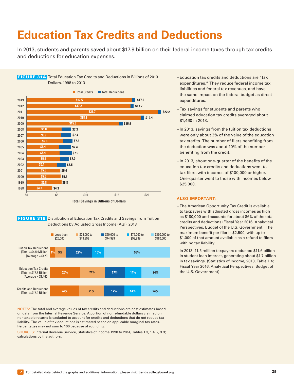## <span id="page-38-1"></span><span id="page-38-0"></span>**Education Tax Credits and Deductions**

In 2013, students and parents saved about \$17.9 billion on their federal income taxes through tax credits and deductions for education expenses.

<span id="page-38-2"></span>

<span id="page-38-3"></span>**FIGURE 31B** Distribution of Education Tax Credits and Savings from Tuition Deductions by Adjusted Gross Income (AGI), 2013



NOTES: The total and average values of tax credits and deductions are best estimates based on data from the Internal Revenue Service. A portion of nonrefundable dollars claimed on nontaxable returns is excluded to account for credits and deductions that do not reduce tax liability. The value of tax deductions is estimated based on applicable marginal tax rates. Percentages may not sum to 100 because of rounding.

SOURCES: Internal Revenue Service, Statistics of Income 1998 to 2014, Tables 1.3, 1.4, 2, 3.3; calculations by the authors.

- Education tax credits and deductions are "tax expenditures." They reduce federal income tax liabilities and federal tax revenues, and have the same impact on the federal budget as direct expenditures.
- Tax savings for students and parents who claimed education tax credits averaged about \$1,460 in 2013.
- In 2013, savings from the tuition tax deductions were only about 3% of the value of the education tax credits. The number of filers benefiting from the deduction was about 10% of the number benefiting from the credit.
- In 2013, about one-quarter of the benefits of the education tax credits and deductions went to tax filers with incomes of \$100,000 or higher. One-quarter went to those with incomes below \$25,000.

- The American Opportunity Tax Credit is available to taxpayers with adjusted gross incomes as high as \$180,000 and accounts for about 86% of the total credits and deductions (Fiscal Year 2016, Analytical Perspectives, Budget of the U.S. Government). The maximum benefit per filer is \$2,500, with up to \$1,000 of that amount available as a refund to filers with no tax liability.
- In 2013, 11.5 million taxpayers deducted \$11.6 billion in student loan interest, generating about \$1.7 billion in tax savings. (Statistics of Income, 2013, Table 1.4; Fiscal Year 2016, Analytical Perspectives, Budget of the U.S. Government)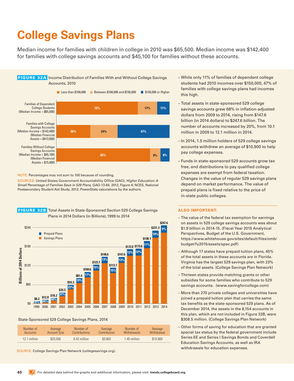# <span id="page-39-1"></span><span id="page-39-0"></span>**College Savings Plans**

Median income for families with children in college in 2010 was \$65,500. Median income was \$142,400 for families with college savings accounts and \$45,100 for families without these accounts.

<span id="page-39-2"></span>

NOTE: Percentages may not sum to 100 because of rounding.

SOURCES: United States Government Accountability Office (GAO), *Higher Education: A Small Percentage of Families Save in 529 Plans*, GAO-13-64, 2012, Figure 4; NCES, National Postsecondary Student Aid Study, 2012; PowerStats calculations by the authors.



### <span id="page-39-3"></span> FIGURE 32B Total Assets in State-Sponsored Section 529 College Savings Plans in 2014 Dollars (in Billions), 1999 to 2014

#### State-Sponsored 529 College Savings Plans, 2014

| Number of       | Average      | Number of            | Average      | Number of    | Average    |
|-----------------|--------------|----------------------|--------------|--------------|------------|
| <b>Accounts</b> | Account Size | <b>Contributions</b> | Contribution | Withdrawals  | Withdrawal |
| 12.1 million    | \$20,500     | 6.42 million         | \$3,802      | 1.45 million | \$10,900   |

SOURCE: College Savings Plan Network [\(collegesavings.org](http://collegesavings.org)).

- While only 11% of families of dependent college students had 2010 incomes over \$150,000, 47% of families with college savings plans had incomes this high.
- Total assets in state-sponsored 529 college savings accounts grew 68% in inflation-adjusted dollars from 2009 to 2014, rising from \$147.6 billion (in 2014 dollars) to \$247.6 billion. The number of accounts increased by 20%, from 10.1 million in 2009 to 12.1 million in 2014.
- In 2014, 1.5 million holders of 529 college savings accounts withdrew an average of \$10,900 to help pay college expenses.
- Funds in state-sponsored 529 accounts grow tax free, and distributions to pay qualified college expenses are exempt from federal taxation. Changes in the value of regular 529 savings plans depend on market performance. The value of prepaid plans is fixed relative to the price of in-state public colleges.

- The value of the federal tax exemption for earnings on assets in 529 college savings accounts was about \$1.9 billion in 2014-15. (Fiscal Year 2015 Analytical Perspectives, Budget of the U.S. Government, https://www.whitehouse.gov/sites/default/files/omb/ budget/fy2015/assets/spec.pdf)
- Although 17 states have prepaid tuition plans, 45% of the total assets in these accounts are in Florida. Virginia has the largest 529 savings plan, with 23% of the total assets. (College Savings Plan Network)
- Thirteen states provide matching grants or other subsidies for some families who contribute to 529 savings accounts. [\(www.savingforcollege.com](http://www.savingforcollege.com))
- More than 270 private colleges and universities have joined a prepaid tuition plan that carries the same tax benefits as the state-sponsored 529 plans. As of December 2014, the assets in the 8,154 accounts in this plan, which are not included in Figure 32B, were \$308.5 million. (College Savings Plan Network)
- Other forms of saving for education that are granted special tax status by the federal government include Series EE and Series I Savings Bonds and Coverdell Education Savings Accounts, as well as IRA withdrawals for education expenses.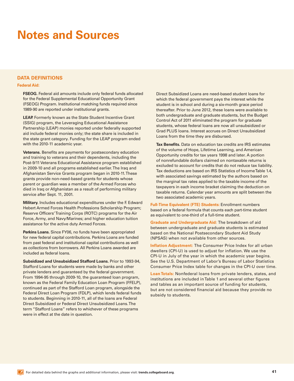## <span id="page-40-1"></span><span id="page-40-0"></span>**Notes and Sources**

### **DATA DEFINITIONS**

### **Federal Aid:**

**FSEOG.** Federal aid amounts include only federal funds allocated for the Federal Supplemental Educational Opportunity Grant (FSEOG) Program. Institutional matching funds required since 1989-90 are reported under institutional grants.

**LEAP.** Formerly known as the State Student Incentive Grant (SSIG) program, the Leveraging Educational Assistance Partnership (LEAP) monies reported under federally supported aid include federal monies only; the state share is included in the state grant category. Funding for the LEAP program ended with the 2010-11 academic year.

**Veterans.** Benefits are payments for postsecondary education and training to veterans and their dependents, including the Post-9/11 Veterans Educational Assistance program established in 2009-10 and all programs established earlier. The Iraq and Afghanistan Service Grants program began in 2010-11. These grants provide non-need-based grants for students whose parent or guardian was a member of the Armed Forces who died in Iraq or Afghanistan as a result of performing military service after Sept. 11, 2001.

**Military.** Includes educational expenditures under the F. Edward Hebert Armed Forces Health Professions Scholarship Program; Reserve Officers' Training Corps (ROTC) programs for the Air Force, Army, and Navy/Marines; and higher education tuition assistance for the active duty Armed Forces.

**Perkins Loans.** Since FY06, no funds have been appropriated for new federal capital contributions. Perkins Loans are funded from past federal and institutional capital contributions as well as collections from borrowers. All Perkins Loans awarded are included as federal loans.

**Subsidized and Unsubsidized Stafford Loans.** Prior to 1993-94, Stafford Loans for students were made by banks and other private lenders and guaranteed by the federal government. From 1994-95 through 2009-10, the guaranteed loan program, known as the Federal Family Education Loan Program (FFELP), continued as part of the Stafford Loan program, alongside the Federal Direct Loan Program (FDLP), which lends federal funds to students. Beginning in 2010-11, all of the loans are Federal Direct Subsidized or Federal Direct Unsubsidized Loans. The term "Stafford Loans" refers to whichever of these programs were in effect at the date in question.

Direct Subsidized Loans are need-based student loans for which the federal government pays the interest while the student is in school and during a six-month grace period thereafter. Prior to June 2012, these loans were available to both undergraduate and graduate students, but the Budget Control Act of 2011 eliminated the program for graduate students, whose federal loans are now all unsubsidized or Grad PLUS loans. Interest accrues on Direct Unsubsidized Loans from the time they are disbursed.

**Tax Benefits.** Data on education tax credits are IRS estimates of the volume of Hope, Lifetime Learning, and American Opportunity credits for tax years 1998 and later. A portion of nonrefundable dollars claimed on nontaxable returns is excluded to account for credits that do not reduce tax liability. Tax deductions are based on IRS Statistics of Income Table 1.4, with associated savings estimated by the authors based on the marginal tax rates applied to the taxable income of the taxpayers in each income bracket claiming the deduction on taxable returns. Calendar year amounts are split between the two associated academic years.

**Full-Time Equivalent (FTE) Students:** Enrollment numbers based on a federal formula that counts each part-time student as equivalent to one-third of a full-time student.

**Graduate and Undergraduate Aid:** The breakdown of aid between undergraduate and graduate students is estimated based on the National Postsecondary Student Aid Study (NPSAS) when not available from other sources.

**Inflation Adjustment:** The Consumer Price Index for all urban dwellers (CPI-U) is used to adjust for inflation. We use the CPI-U in July of the year in which the academic year begins. See the U.S. Department of Labor's Bureau of Labor Statistics Consumer Price Index table for changes in the CPI-U over time.

**Loan Totals:** Nonfederal loans from private lenders, states, and institutions are included in Table 1 and several other figures and tables as an important source of funding for students, but are not considered financial aid because they provide no subsidy to students.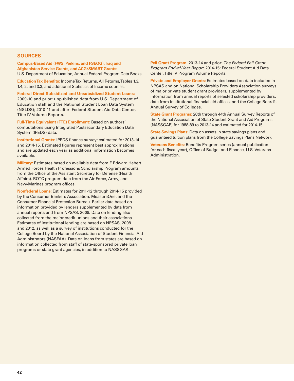### **SOURCES**

**Campus-Based Aid (FWS, Perkins, and FSEOG), Iraq and Afghanistan Service Grants, and ACG/SMART Grants:**  U.S. Department of Education, Annual Federal Program Data Books.

**Education Tax Benefits:** Income Tax Returns, All Returns, Tables 1.3, 1.4, 2, and 3.3, and additional Statistics of Income sources.

**Federal Direct Subsidized and Unsubsidized Student Loans:**  2009-10 and prior: unpublished data from U.S. Department of Education staff and the National Student Loan Data System (NSLDS); 2010-11 and after: Federal Student Aid Data Center, Title IV Volume Reports.

**Full-Time Equivalent (FTE) Enrollment:** Based on authors' computations using Integrated Postsecondary Education Data System (IPEDS) data.

**Institutional Grants:** IPEDS finance survey; estimated for 2013-14 and 2014-15. Estimated figures represent best approximations and are updated each year as additional information becomes available.

**Military:** Estimates based on available data from F. Edward Hebert Armed Forces Health Professions Scholarship Program amounts from the Office of the Assistant Secretary for Defense (Health Affairs). ROTC program data from the Air Force, Army, and Navy/Marines program offices.

**Nonfederal Loans:** Estimates for 2011-12 through 2014-15 provided by the Consumer Bankers Association, MeasureOne, and the Consumer Financial Protection Bureau. Earlier data based on information provided by lenders supplemented by data from annual reports and from NPSAS, 2008. Data on lending also collected from the major credit unions and their associations. Estimates of institutional lending are based on NPSAS, 2008 and 2012, as well as a survey of institutions conducted for the College Board by the National Association of Student Financial Aid Administrators (NASFAA). Data on loans from states are based on information collected from staff of state-sponsored private loan programs or state grant agencies, in addition to NASSGAP.

**Pell Grant Program:** 2013-14 and prior: *The Federal Pell Grant Program End-of-Year Report*; 2014-15: Federal Student Aid Data Center, Title IV Program Volume Reports.

**Private and Employer Grants:** Estimates based on data included in NPSAS and on National Scholarship Providers Association surveys of major private student grant providers, supplemented by information from annual reports of selected scholarship providers, data from institutional financial aid offices, and the College Board's Annual Survey of Colleges.

**State Grant Programs:** 20th through 44th Annual Survey Reports of the National Association of State Student Grant and Aid Programs (NASSGAP) for 1988-89 to 2013-14 and estimated for 2014-15.

**State Savings Plans:** Data on assets in state savings plans and guaranteed tuition plans from the College Savings Plans Network.

**Veterans Benefits:** Benefits Program series (annual publication for each fiscal year), Office of Budget and Finance, U.S. Veterans Administration.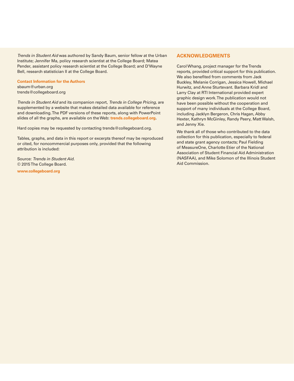*Trends in Student Aid* was authored by Sandy Baum, senior fellow at the Urban Institute; Jennifer Ma, policy research scientist at the College Board; Matea Pender, assistant policy research scientist at the College Board; and D'Wayne Bell, research statistician II at the College Board.

#### **Contact Information for the Authors**

sbaum@urban.org trends@collegeboard.org

*Trends in Student Aid* and its companion report, *Trends in College Pricing*, are supplemented by a website that makes detailed data available for reference and downloading. The PDF versions of these reports, along with PowerPoint slides of all the graphs, are available on the Web: **[trends.collegeboard.org](http://trends.collegeboard.org).**

Hard copies may be requested by contacting trends@collegeboard.org.

Tables, graphs, and data in this report or excerpts thereof may be reproduced or cited, for noncommercial purposes only, provided that the following attribution is included:

Source: *Trends in Student Aid.* © 2015 The College Board. **[www.collegeboard.org](http://www.collegeboard.org)**

### **ACKNOWLEDGMENTS**

Carol Whang, project manager for the Trends reports, provided critical support for this publication. We also benefited from comments from Jack Buckley, Melanie Corrigan, Jessica Howell, Michael Hurwitz, and Anne Sturtevant. Barbara Kridl and Larry Clay at RTI International provided expert graphic design work. The publication would not have been possible without the cooperation and support of many individuals at the College Board, including Jacklyn Bergeron, Chris Hagan, Abby Hexter, Kathryn McGinley, Randy Peery, Matt Walsh, and Jenny Xie.

We thank all of those who contributed to the data collection for this publication, especially to federal and state grant agency contacts; Paul Fielding of MeasureOne, Charlotte Etier of the National Association of Student Financial Aid Administration (NASFAA), and Mike Solomon of the Illinois Student Aid Commission.